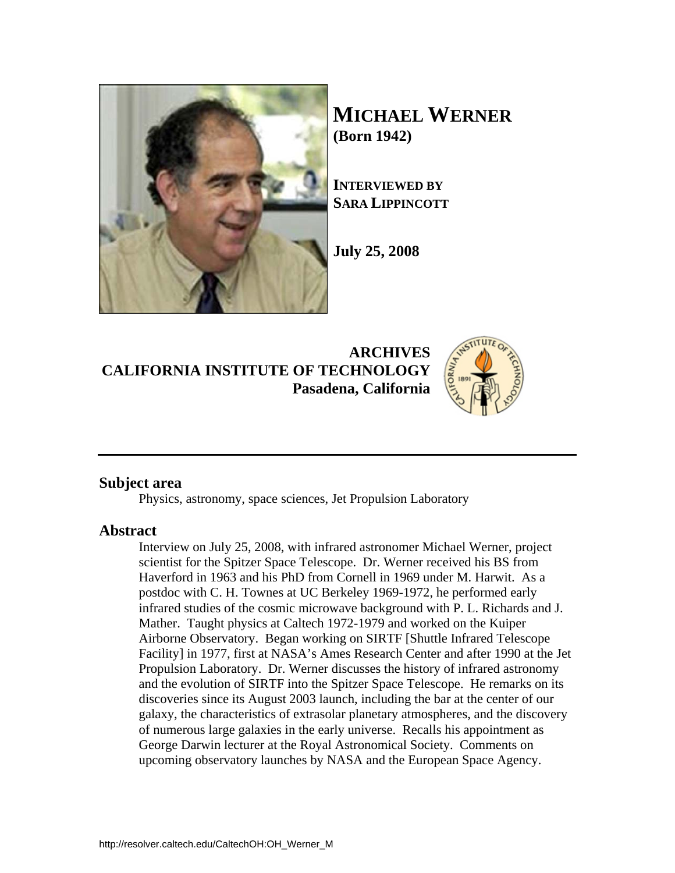

**MICHAEL WERNER (Born 1942)** 

**INTERVIEWED BY SARA LIPPINCOTT**

**July 25, 2008** 

**ARCHIVES CALIFORNIA INSTITUTE OF TECHNOLOGY Pasadena, California**



## **Subject area**

Physics, astronomy, space sciences, Jet Propulsion Laboratory

## **Abstract**

Interview on July 25, 2008, with infrared astronomer Michael Werner, project scientist for the Spitzer Space Telescope. Dr. Werner received his BS from Haverford in 1963 and his PhD from Cornell in 1969 under M. Harwit. As a postdoc with C. H. Townes at UC Berkeley 1969-1972, he performed early infrared studies of the cosmic microwave background with P. L. Richards and J. Mather. Taught physics at Caltech 1972-1979 and worked on the Kuiper Airborne Observatory. Began working on SIRTF [Shuttle Infrared Telescope Facility] in 1977, first at NASA's Ames Research Center and after 1990 at the Jet Propulsion Laboratory. Dr. Werner discusses the history of infrared astronomy and the evolution of SIRTF into the Spitzer Space Telescope. He remarks on its discoveries since its August 2003 launch, including the bar at the center of our galaxy, the characteristics of extrasolar planetary atmospheres, and the discovery of numerous large galaxies in the early universe. Recalls his appointment as George Darwin lecturer at the Royal Astronomical Society. Comments on upcoming observatory launches by NASA and the European Space Agency.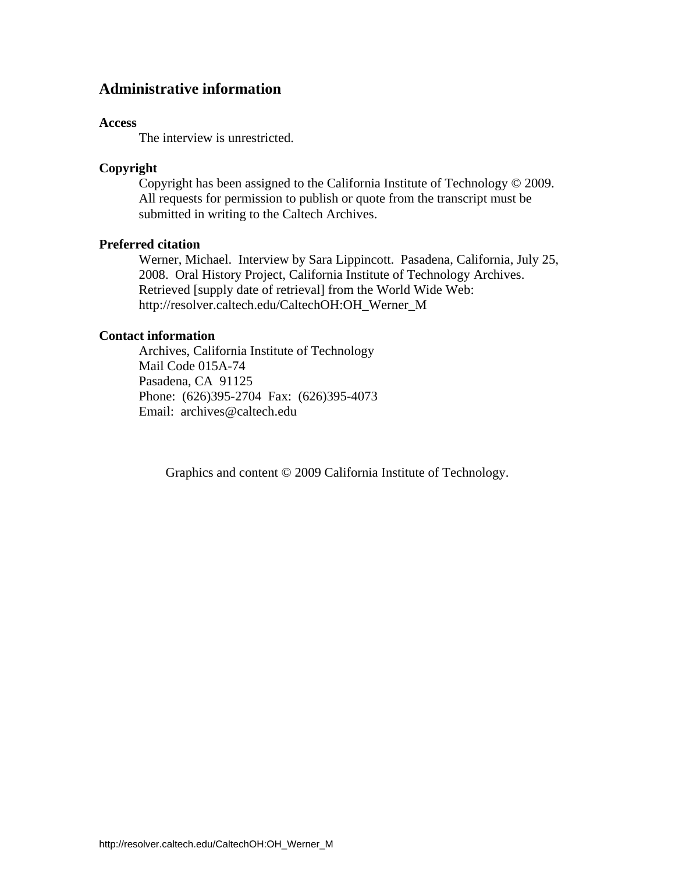# **Administrative information**

#### **Access**

The interview is unrestricted.

#### **Copyright**

 Copyright has been assigned to the California Institute of Technology © 2009. All requests for permission to publish or quote from the transcript must be submitted in writing to the Caltech Archives.

## **Preferred citation**

 Werner, Michael. Interview by Sara Lippincott. Pasadena, California, July 25, 2008. Oral History Project, California Institute of Technology Archives. Retrieved [supply date of retrieval] from the World Wide Web: http://resolver.caltech.edu/CaltechOH:OH\_Werner\_M

#### **Contact information**

 Archives, California Institute of Technology Mail Code 015A-74 Pasadena, CA 91125 Phone: (626)395-2704 Fax: (626)395-4073 Email: archives@caltech.edu

Graphics and content © 2009 California Institute of Technology.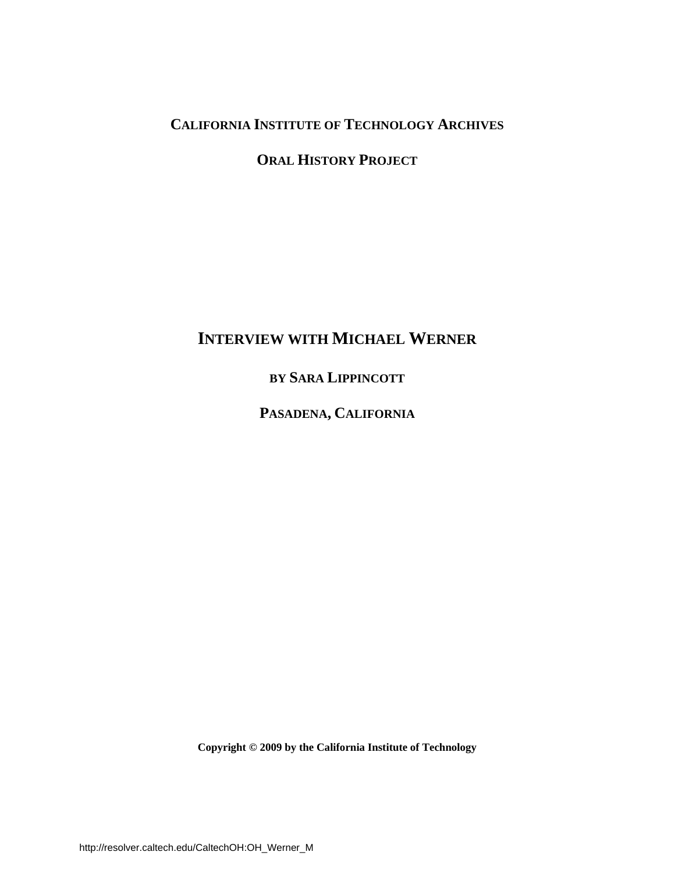# **CALIFORNIA INSTITUTE OF TECHNOLOGY ARCHIVES**

# **ORAL HISTORY PROJECT**

# **INTERVIEW WITH MICHAEL WERNER**

**BY SARA LIPPINCOTT**

**PASADENA, CALIFORNIA**

**Copyright © 2009 by the California Institute of Technology**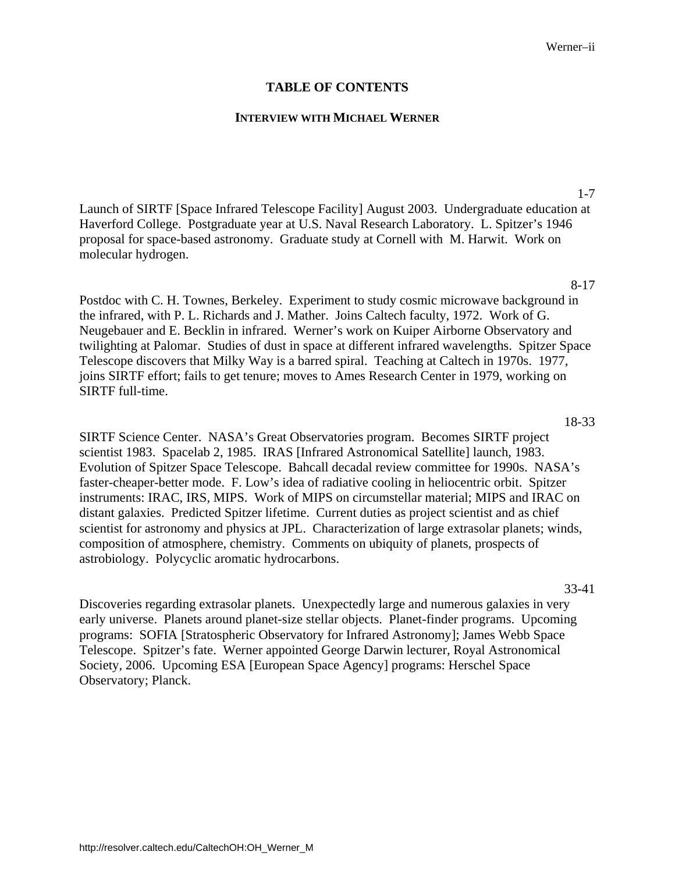### **TABLE OF CONTENTS**

#### **INTERVIEW WITH MICHAEL WERNER**

[Launch of SIRTF \[Space Infrared Telescope Facility\] August 2003. Undergraduate education at](#page-4-0)  Haverford College. Postgraduate year at U.S. Naval Research Laboratory. L. Spitzer's 1946 proposal for space-based astronomy. Graduate study at Cornell with M. Harwit. Work on molecular hydrogen.

#### 8-17

1-7

Postdoc with C. H. Townes, Berkeley. Experiment to study cosmic microwave background in the infrared, with P. L. Richards and J. Mather. Joins Caltech faculty, 1972. Work of G. Neugebauer and E. Becklin in infrared. Werner's work on Kuiper Airborne Observatory and [twilighting at Palomar. Studies of dust in space at different infrared wavelengths. Spitzer Space](#page-11-0)  Telescope discovers that Milky Way is a barred spiral. Teaching at Caltech in 1970s. 1977, joins SIRTF effort; fails to get tenure; moves to Ames Research Center in 1979, working on SIRTF full-time.

18-33

SIRTF Science Center. NASA's Great Observatories program. Becomes SIRTF project scientist 1983. Spacelab 2, 1985. IRAS [Infrared Astronomical Satellite] launch, 1983. Evolution of Spitzer Space Telescope. Bahcall decadal review committee for 1990s. NASA's faster-cheaper-better mode. F. Low's idea of radiative cooling in heliocentric orbit. Spitzer instruments: IRAC, IRS, MIPS. Work of MIPS on circumstellar material; MIPS and IRAC on distant galaxies. Predicted Spitzer lifetime. Current duties as project scientist and as chief [scientist for astronomy and physics at JPL. Characterization of large extrasolar planets; winds,](#page-21-0)  composition of atmosphere, chemistry. Comments on ubiquity of planets, prospects of astrobiology. Polycyclic aromatic hydrocarbons.

#### 33-41

Discoveries regarding extrasolar planets. Unexpectedly large and numerous galaxies in very [early universe. Planets around planet-size stellar objects. Planet-finder programs. Upcoming](#page-36-0)  programs: SOFIA [Stratospheric Observatory for Infrared Astronomy]; James Webb Space Telescope. Spitzer's fate. Werner appointed George Darwin lecturer, Royal Astronomical Society, 2006. Upcoming ESA [European Space Agency] programs: Herschel Space Observatory; Planck.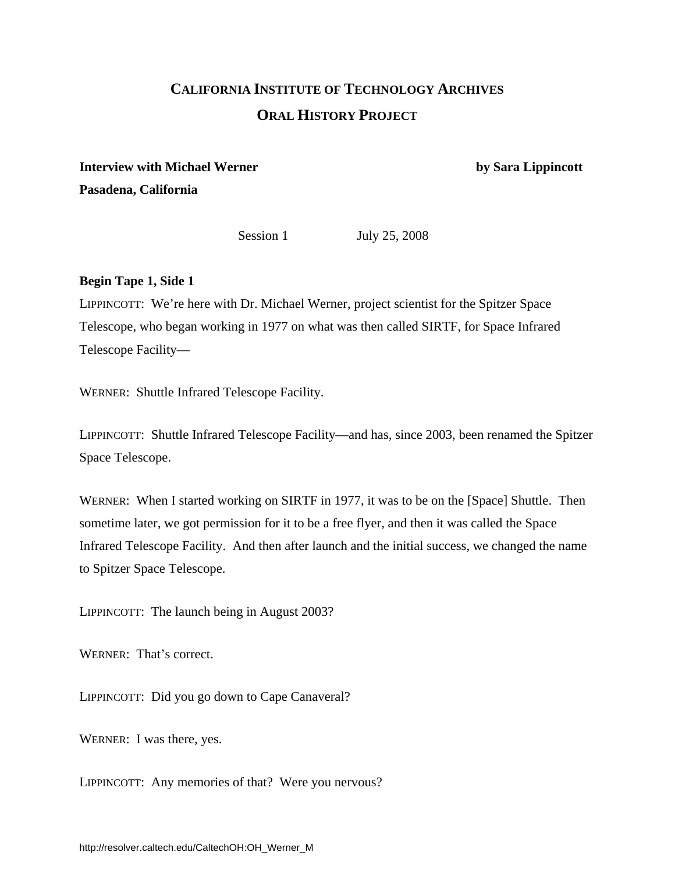# **CALIFORNIA INSTITUTE OF TECHNOLOGY ARCHIVES ORAL HISTORY PROJECT**

# <span id="page-4-0"></span>**Interview with Michael Werner by Sara Lippincott Pasadena, California**

Session 1 July 25, 2008

# **Begin Tape 1, Side 1**

LIPPINCOTT: We're here with Dr. Michael Werner, project scientist for the Spitzer Space Telescope, who began working in 1977 on what was then called SIRTF, for Space Infrared Telescope Facility—

WERNER: Shuttle Infrared Telescope Facility.

LIPPINCOTT: Shuttle Infrared Telescope Facility—and has, since 2003, been renamed the Spitzer Space Telescope.

WERNER: When I started working on SIRTF in 1977, it was to be on the [Space] Shuttle. Then sometime later, we got permission for it to be a free flyer, and then it was called the Space Infrared Telescope Facility. And then after launch and the initial success, we changed the name to Spitzer Space Telescope.

LIPPINCOTT: The launch being in August 2003?

WERNER: That's correct.

LIPPINCOTT: Did you go down to Cape Canaveral?

WERNER: I was there, yes.

LIPPINCOTT: Any memories of that? Were you nervous?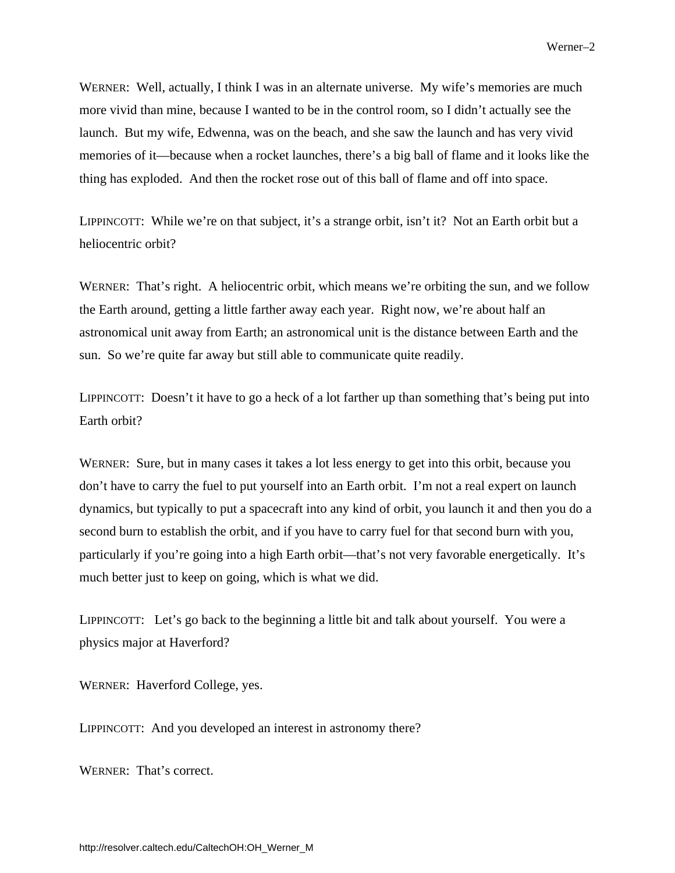WERNER: Well, actually, I think I was in an alternate universe. My wife's memories are much more vivid than mine, because I wanted to be in the control room, so I didn't actually see the launch. But my wife, Edwenna, was on the beach, and she saw the launch and has very vivid memories of it—because when a rocket launches, there's a big ball of flame and it looks like the thing has exploded. And then the rocket rose out of this ball of flame and off into space.

LIPPINCOTT: While we're on that subject, it's a strange orbit, isn't it? Not an Earth orbit but a heliocentric orbit?

WERNER: That's right. A heliocentric orbit, which means we're orbiting the sun, and we follow the Earth around, getting a little farther away each year. Right now, we're about half an astronomical unit away from Earth; an astronomical unit is the distance between Earth and the sun. So we're quite far away but still able to communicate quite readily.

LIPPINCOTT: Doesn't it have to go a heck of a lot farther up than something that's being put into Earth orbit?

WERNER: Sure, but in many cases it takes a lot less energy to get into this orbit, because you don't have to carry the fuel to put yourself into an Earth orbit. I'm not a real expert on launch dynamics, but typically to put a spacecraft into any kind of orbit, you launch it and then you do a second burn to establish the orbit, and if you have to carry fuel for that second burn with you, particularly if you're going into a high Earth orbit—that's not very favorable energetically. It's much better just to keep on going, which is what we did.

LIPPINCOTT: Let's go back to the beginning a little bit and talk about yourself. You were a physics major at Haverford?

WERNER: Haverford College, yes.

LIPPINCOTT: And you developed an interest in astronomy there?

WERNER: That's correct.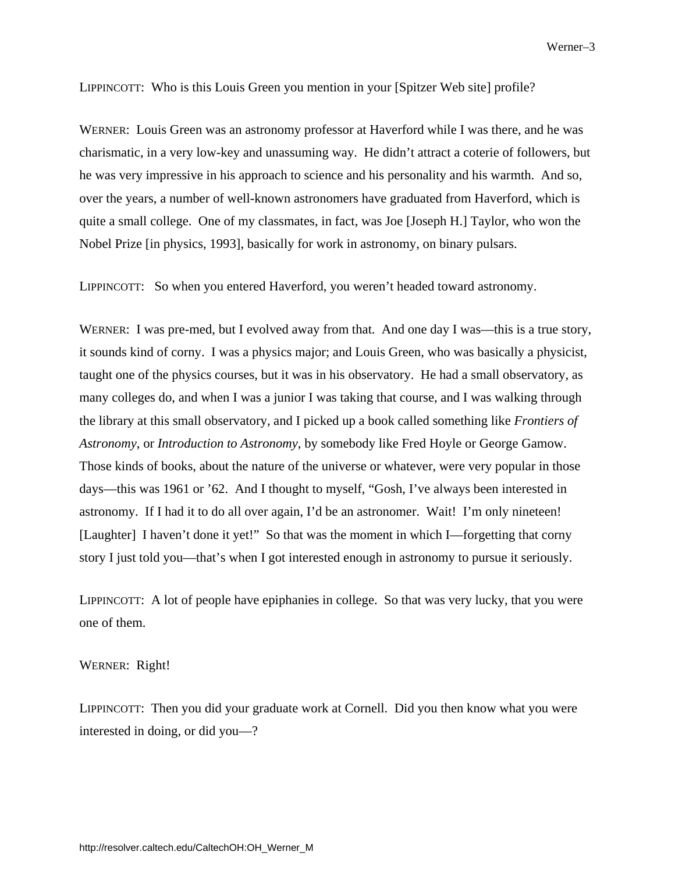LIPPINCOTT: Who is this Louis Green you mention in your [Spitzer Web site] profile?

WERNER: Louis Green was an astronomy professor at Haverford while I was there, and he was charismatic, in a very low-key and unassuming way. He didn't attract a coterie of followers, but he was very impressive in his approach to science and his personality and his warmth. And so, over the years, a number of well-known astronomers have graduated from Haverford, which is quite a small college. One of my classmates, in fact, was Joe [Joseph H.] Taylor, who won the Nobel Prize [in physics, 1993], basically for work in astronomy, on binary pulsars.

LIPPINCOTT: So when you entered Haverford, you weren't headed toward astronomy.

WERNER: I was pre-med, but I evolved away from that. And one day I was—this is a true story, it sounds kind of corny. I was a physics major; and Louis Green, who was basically a physicist, taught one of the physics courses, but it was in his observatory. He had a small observatory, as many colleges do, and when I was a junior I was taking that course, and I was walking through the library at this small observatory, and I picked up a book called something like *Frontiers of Astronomy*, or *Introduction to Astronomy*, by somebody like Fred Hoyle or George Gamow. Those kinds of books, about the nature of the universe or whatever, were very popular in those days—this was 1961 or '62. And I thought to myself, "Gosh, I've always been interested in astronomy. If I had it to do all over again, I'd be an astronomer. Wait! I'm only nineteen! [Laughter] I haven't done it yet!" So that was the moment in which I—forgetting that corny story I just told you—that's when I got interested enough in astronomy to pursue it seriously.

LIPPINCOTT: A lot of people have epiphanies in college. So that was very lucky, that you were one of them.

WERNER: Right!

LIPPINCOTT: Then you did your graduate work at Cornell. Did you then know what you were interested in doing, or did you—?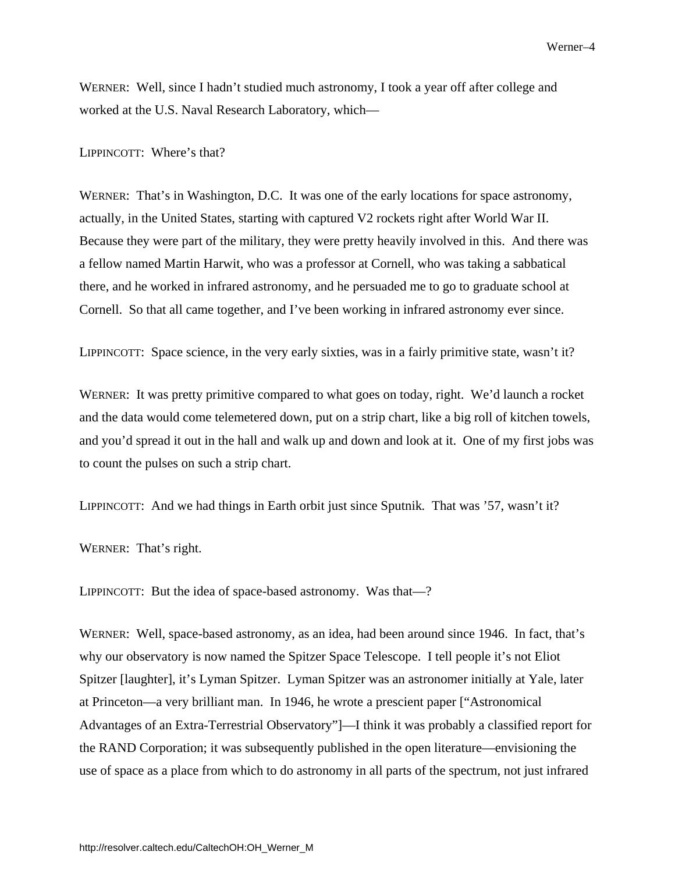WERNER: Well, since I hadn't studied much astronomy, I took a year off after college and worked at the U.S. Naval Research Laboratory, which—

LIPPINCOTT: Where's that?

WERNER: That's in Washington, D.C. It was one of the early locations for space astronomy, actually, in the United States, starting with captured V2 rockets right after World War II. Because they were part of the military, they were pretty heavily involved in this. And there was a fellow named Martin Harwit, who was a professor at Cornell, who was taking a sabbatical there, and he worked in infrared astronomy, and he persuaded me to go to graduate school at Cornell. So that all came together, and I've been working in infrared astronomy ever since.

LIPPINCOTT: Space science, in the very early sixties, was in a fairly primitive state, wasn't it?

WERNER: It was pretty primitive compared to what goes on today, right. We'd launch a rocket and the data would come telemetered down, put on a strip chart, like a big roll of kitchen towels, and you'd spread it out in the hall and walk up and down and look at it. One of my first jobs was to count the pulses on such a strip chart.

LIPPINCOTT: And we had things in Earth orbit just since Sputnik*.* That was '57, wasn't it?

WERNER: That's right.

LIPPINCOTT: But the idea of space-based astronomy. Was that—?

WERNER: Well, space-based astronomy, as an idea, had been around since 1946. In fact, that's why our observatory is now named the Spitzer Space Telescope. I tell people it's not Eliot Spitzer [laughter], it's Lyman Spitzer. Lyman Spitzer was an astronomer initially at Yale, later at Princeton—a very brilliant man. In 1946, he wrote a prescient paper ["Astronomical Advantages of an Extra-Terrestrial Observatory"]—I think it was probably a classified report for the RAND Corporation; it was subsequently published in the open literature—envisioning the use of space as a place from which to do astronomy in all parts of the spectrum, not just infrared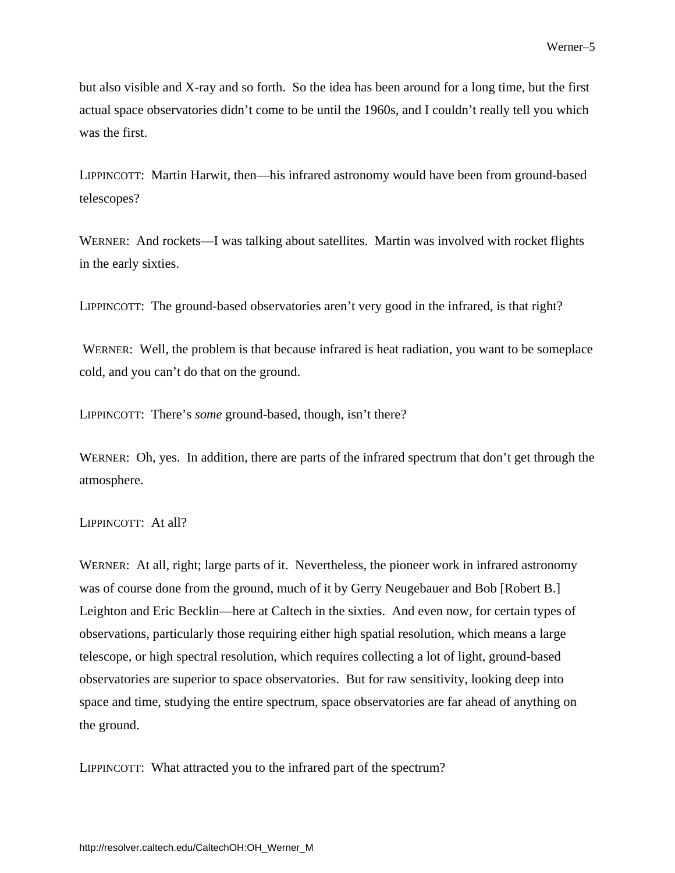but also visible and X-ray and so forth. So the idea has been around for a long time, but the first actual space observatories didn't come to be until the 1960s, and I couldn't really tell you which was the first.

LIPPINCOTT: Martin Harwit, then—his infrared astronomy would have been from ground-based telescopes?

WERNER: And rockets—I was talking about satellites. Martin was involved with rocket flights in the early sixties.

LIPPINCOTT: The ground-based observatories aren't very good in the infrared, is that right?

 WERNER: Well, the problem is that because infrared is heat radiation, you want to be someplace cold, and you can't do that on the ground.

LIPPINCOTT: There's *some* ground-based, though, isn't there?

WERNER: Oh, yes. In addition, there are parts of the infrared spectrum that don't get through the atmosphere.

### LIPPINCOTT: At all?

WERNER: At all, right; large parts of it. Nevertheless, the pioneer work in infrared astronomy was of course done from the ground, much of it by Gerry Neugebauer and Bob [Robert B.] Leighton and Eric Becklin—here at Caltech in the sixties. And even now, for certain types of observations, particularly those requiring either high spatial resolution, which means a large telescope, or high spectral resolution, which requires collecting a lot of light, ground-based observatories are superior to space observatories. But for raw sensitivity, looking deep into space and time, studying the entire spectrum, space observatories are far ahead of anything on the ground.

LIPPINCOTT: What attracted you to the infrared part of the spectrum?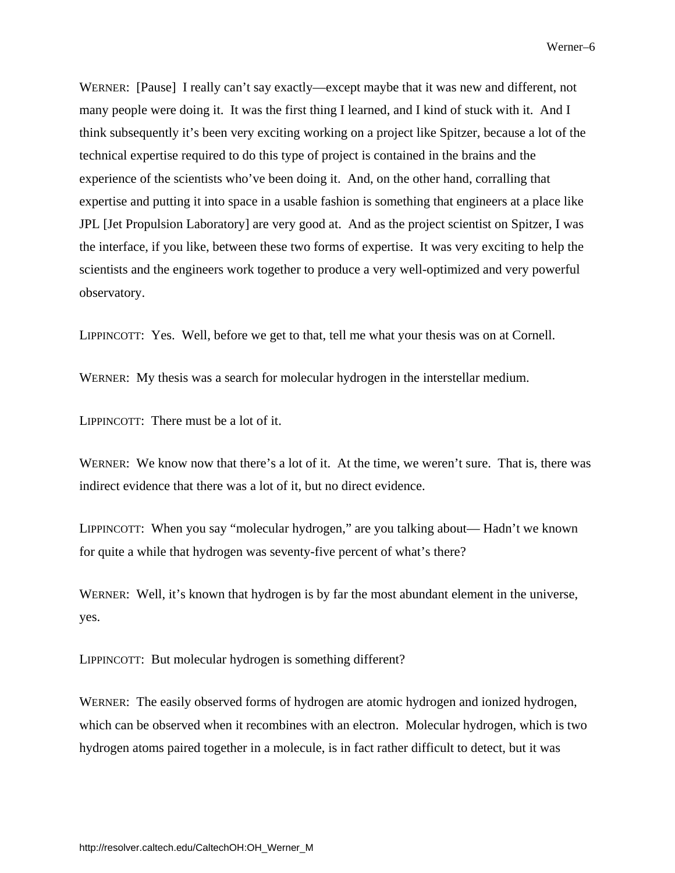WERNER: [Pause] I really can't say exactly—except maybe that it was new and different, not many people were doing it. It was the first thing I learned, and I kind of stuck with it. And I think subsequently it's been very exciting working on a project like Spitzer, because a lot of the technical expertise required to do this type of project is contained in the brains and the experience of the scientists who've been doing it. And, on the other hand, corralling that expertise and putting it into space in a usable fashion is something that engineers at a place like JPL [Jet Propulsion Laboratory] are very good at. And as the project scientist on Spitzer, I was the interface, if you like, between these two forms of expertise. It was very exciting to help the scientists and the engineers work together to produce a very well-optimized and very powerful observatory.

LIPPINCOTT: Yes. Well, before we get to that, tell me what your thesis was on at Cornell.

WERNER: My thesis was a search for molecular hydrogen in the interstellar medium.

LIPPINCOTT: There must be a lot of it.

WERNER: We know now that there's a lot of it. At the time, we weren't sure. That is, there was indirect evidence that there was a lot of it, but no direct evidence.

LIPPINCOTT: When you say "molecular hydrogen," are you talking about— Hadn't we known for quite a while that hydrogen was seventy-five percent of what's there?

WERNER: Well, it's known that hydrogen is by far the most abundant element in the universe, yes.

LIPPINCOTT: But molecular hydrogen is something different?

WERNER: The easily observed forms of hydrogen are atomic hydrogen and ionized hydrogen, which can be observed when it recombines with an electron. Molecular hydrogen, which is two hydrogen atoms paired together in a molecule, is in fact rather difficult to detect, but it was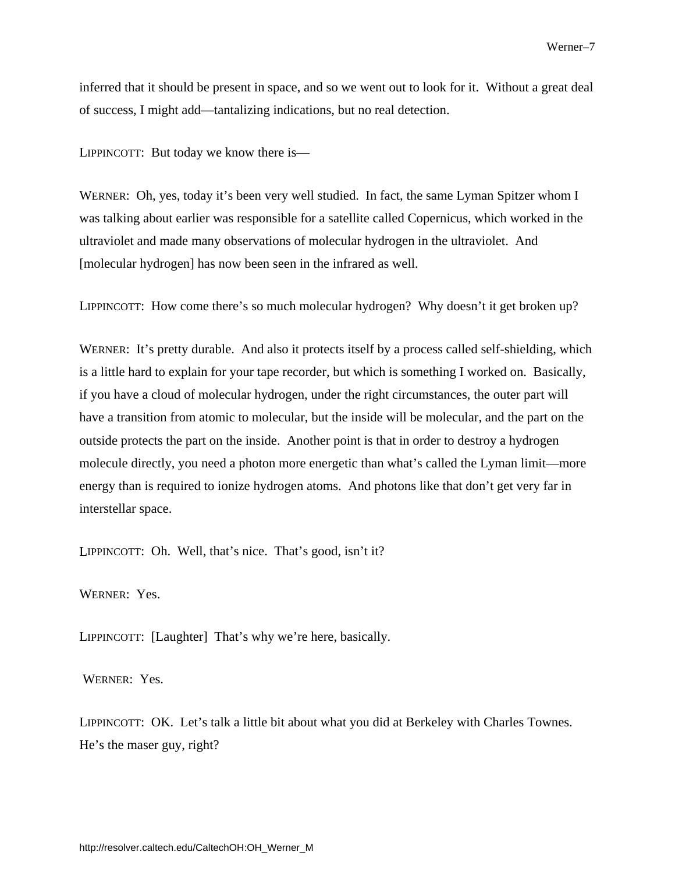inferred that it should be present in space, and so we went out to look for it. Without a great deal of success, I might add—tantalizing indications, but no real detection.

LIPPINCOTT: But today we know there is—

WERNER: Oh, yes, today it's been very well studied. In fact, the same Lyman Spitzer whom I was talking about earlier was responsible for a satellite called Copernicus, which worked in the ultraviolet and made many observations of molecular hydrogen in the ultraviolet. And [molecular hydrogen] has now been seen in the infrared as well.

LIPPINCOTT: How come there's so much molecular hydrogen? Why doesn't it get broken up?

WERNER: It's pretty durable. And also it protects itself by a process called self-shielding, which is a little hard to explain for your tape recorder, but which is something I worked on. Basically, if you have a cloud of molecular hydrogen, under the right circumstances, the outer part will have a transition from atomic to molecular, but the inside will be molecular, and the part on the outside protects the part on the inside. Another point is that in order to destroy a hydrogen molecule directly, you need a photon more energetic than what's called the Lyman limit—more energy than is required to ionize hydrogen atoms. And photons like that don't get very far in interstellar space.

LIPPINCOTT: Oh. Well, that's nice. That's good, isn't it?

WERNER: Yes.

LIPPINCOTT: [Laughter] That's why we're here, basically.

WERNER: Yes.

LIPPINCOTT: OK. Let's talk a little bit about what you did at Berkeley with Charles Townes. He's the maser guy, right?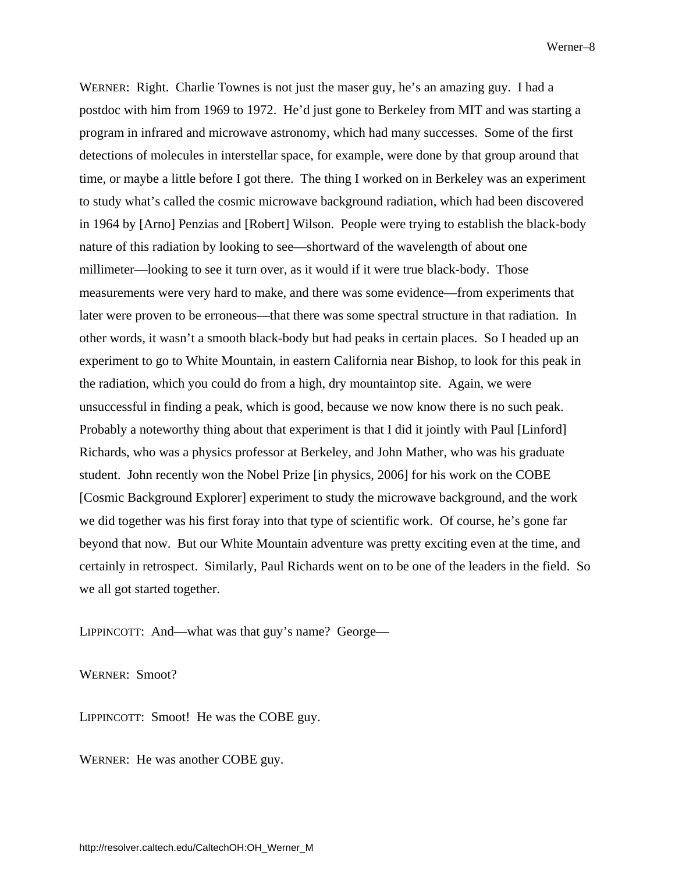<span id="page-11-0"></span>WERNER: Right. Charlie Townes is not just the maser guy, he's an amazing guy. I had a postdoc with him from 1969 to 1972. He'd just gone to Berkeley from MIT and was starting a program in infrared and microwave astronomy, which had many successes. Some of the first detections of molecules in interstellar space, for example, were done by that group around that time, or maybe a little before I got there. The thing I worked on in Berkeley was an experiment to study what's called the cosmic microwave background radiation, which had been discovered in 1964 by [Arno] Penzias and [Robert] Wilson. People were trying to establish the black-body nature of this radiation by looking to see—shortward of the wavelength of about one millimeter—looking to see it turn over, as it would if it were true black-body. Those measurements were very hard to make, and there was some evidence—from experiments that later were proven to be erroneous—that there was some spectral structure in that radiation. In other words, it wasn't a smooth black-body but had peaks in certain places. So I headed up an experiment to go to White Mountain, in eastern California near Bishop, to look for this peak in the radiation, which you could do from a high, dry mountaintop site. Again, we were unsuccessful in finding a peak, which is good, because we now know there is no such peak. Probably a noteworthy thing about that experiment is that I did it jointly with Paul [Linford] Richards, who was a physics professor at Berkeley, and John Mather, who was his graduate student. John recently won the Nobel Prize [in physics, 2006] for his work on the COBE [Cosmic Background Explorer] experiment to study the microwave background, and the work we did together was his first foray into that type of scientific work. Of course, he's gone far beyond that now. But our White Mountain adventure was pretty exciting even at the time, and certainly in retrospect. Similarly, Paul Richards went on to be one of the leaders in the field. So we all got started together.

LIPPINCOTT: And—what was that guy's name? George—

WERNER: Smoot?

LIPPINCOTT: Smoot! He was the COBE guy.

WERNER: He was another COBE guy.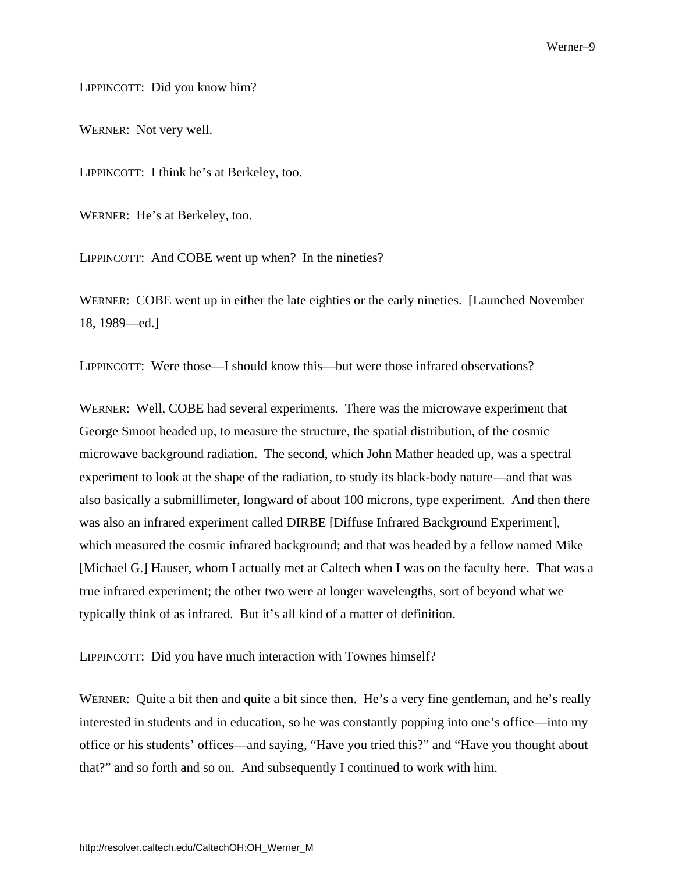LIPPINCOTT: Did you know him?

WERNER: Not very well.

LIPPINCOTT: I think he's at Berkeley, too.

WERNER: He's at Berkeley, too.

LIPPINCOTT: And COBE went up when? In the nineties?

WERNER: COBE went up in either the late eighties or the early nineties. [Launched November 18, 1989—ed.]

LIPPINCOTT: Were those—I should know this—but were those infrared observations?

WERNER: Well, COBE had several experiments. There was the microwave experiment that George Smoot headed up, to measure the structure, the spatial distribution, of the cosmic microwave background radiation. The second, which John Mather headed up, was a spectral experiment to look at the shape of the radiation, to study its black-body nature—and that was also basically a submillimeter, longward of about 100 microns, type experiment. And then there was also an infrared experiment called DIRBE [Diffuse Infrared Background Experiment], which measured the cosmic infrared background; and that was headed by a fellow named Mike [Michael G.] Hauser, whom I actually met at Caltech when I was on the faculty here. That was a true infrared experiment; the other two were at longer wavelengths, sort of beyond what we typically think of as infrared. But it's all kind of a matter of definition.

LIPPINCOTT: Did you have much interaction with Townes himself?

WERNER: Quite a bit then and quite a bit since then. He's a very fine gentleman, and he's really interested in students and in education, so he was constantly popping into one's office—into my office or his students' offices—and saying, "Have you tried this?" and "Have you thought about that?" and so forth and so on. And subsequently I continued to work with him.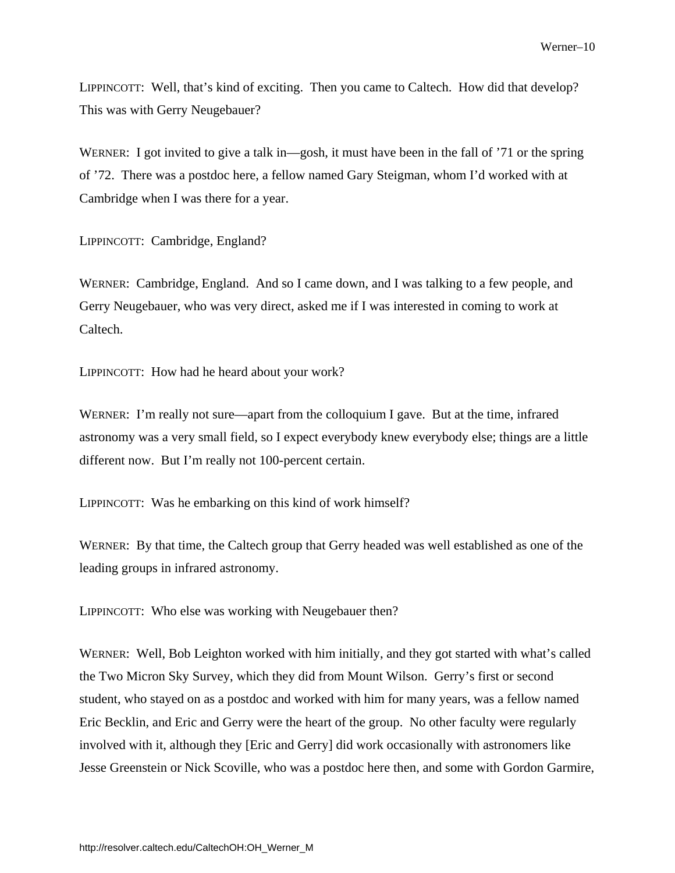LIPPINCOTT: Well, that's kind of exciting. Then you came to Caltech. How did that develop? This was with Gerry Neugebauer?

WERNER: I got invited to give a talk in—gosh, it must have been in the fall of '71 or the spring of '72. There was a postdoc here, a fellow named Gary Steigman, whom I'd worked with at Cambridge when I was there for a year.

LIPPINCOTT: Cambridge, England?

WERNER: Cambridge, England. And so I came down, and I was talking to a few people, and Gerry Neugebauer, who was very direct, asked me if I was interested in coming to work at Caltech.

LIPPINCOTT: How had he heard about your work?

WERNER: I'm really not sure—apart from the colloquium I gave. But at the time, infrared astronomy was a very small field, so I expect everybody knew everybody else; things are a little different now. But I'm really not 100-percent certain.

LIPPINCOTT: Was he embarking on this kind of work himself?

WERNER: By that time, the Caltech group that Gerry headed was well established as one of the leading groups in infrared astronomy.

LIPPINCOTT: Who else was working with Neugebauer then?

WERNER: Well, Bob Leighton worked with him initially, and they got started with what's called the Two Micron Sky Survey, which they did from Mount Wilson. Gerry's first or second student, who stayed on as a postdoc and worked with him for many years, was a fellow named Eric Becklin, and Eric and Gerry were the heart of the group. No other faculty were regularly involved with it, although they [Eric and Gerry] did work occasionally with astronomers like Jesse Greenstein or Nick Scoville, who was a postdoc here then, and some with Gordon Garmire,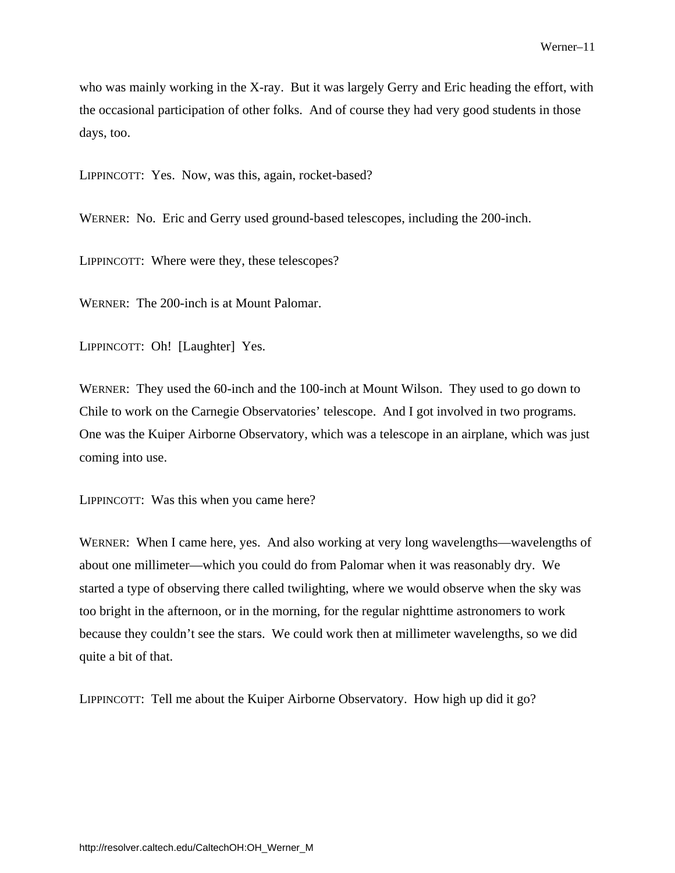who was mainly working in the X-ray. But it was largely Gerry and Eric heading the effort, with the occasional participation of other folks. And of course they had very good students in those days, too.

LIPPINCOTT: Yes. Now, was this, again, rocket-based?

WERNER: No. Eric and Gerry used ground-based telescopes, including the 200-inch.

LIPPINCOTT: Where were they, these telescopes?

WERNER: The 200-inch is at Mount Palomar.

LIPPINCOTT: Oh! [Laughter] Yes.

WERNER: They used the 60-inch and the 100-inch at Mount Wilson. They used to go down to Chile to work on the Carnegie Observatories' telescope. And I got involved in two programs. One was the Kuiper Airborne Observatory, which was a telescope in an airplane, which was just coming into use.

LIPPINCOTT: Was this when you came here?

WERNER: When I came here, yes. And also working at very long wavelengths—wavelengths of about one millimeter—which you could do from Palomar when it was reasonably dry. We started a type of observing there called twilighting, where we would observe when the sky was too bright in the afternoon, or in the morning, for the regular nighttime astronomers to work because they couldn't see the stars. We could work then at millimeter wavelengths, so we did quite a bit of that.

LIPPINCOTT: Tell me about the Kuiper Airborne Observatory. How high up did it go?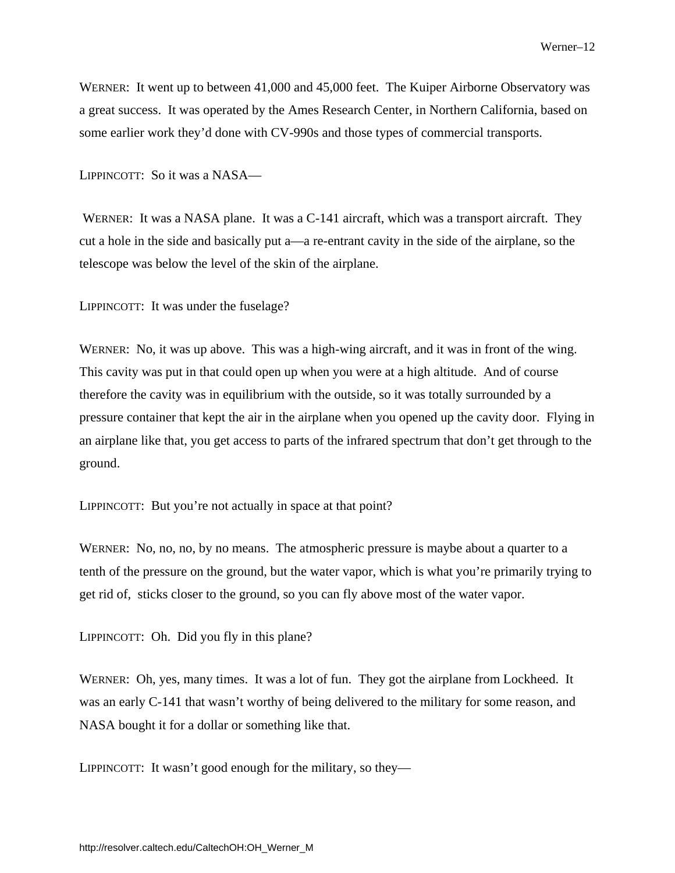WERNER: It went up to between 41,000 and 45,000 feet. The Kuiper Airborne Observatory was a great success. It was operated by the Ames Research Center, in Northern California, based on some earlier work they'd done with CV-990s and those types of commercial transports.

LIPPINCOTT: So it was a NASA—

 WERNER: It was a NASA plane. It was a C-141 aircraft, which was a transport aircraft. They cut a hole in the side and basically put a—a re-entrant cavity in the side of the airplane, so the telescope was below the level of the skin of the airplane.

LIPPINCOTT: It was under the fuselage?

WERNER: No, it was up above. This was a high-wing aircraft, and it was in front of the wing. This cavity was put in that could open up when you were at a high altitude. And of course therefore the cavity was in equilibrium with the outside, so it was totally surrounded by a pressure container that kept the air in the airplane when you opened up the cavity door. Flying in an airplane like that, you get access to parts of the infrared spectrum that don't get through to the ground.

LIPPINCOTT: But you're not actually in space at that point?

WERNER: No, no, no, by no means. The atmospheric pressure is maybe about a quarter to a tenth of the pressure on the ground, but the water vapor, which is what you're primarily trying to get rid of, sticks closer to the ground, so you can fly above most of the water vapor.

LIPPINCOTT: Oh. Did you fly in this plane?

WERNER: Oh, yes, many times. It was a lot of fun. They got the airplane from Lockheed. It was an early C-141 that wasn't worthy of being delivered to the military for some reason, and NASA bought it for a dollar or something like that.

LIPPINCOTT: It wasn't good enough for the military, so they—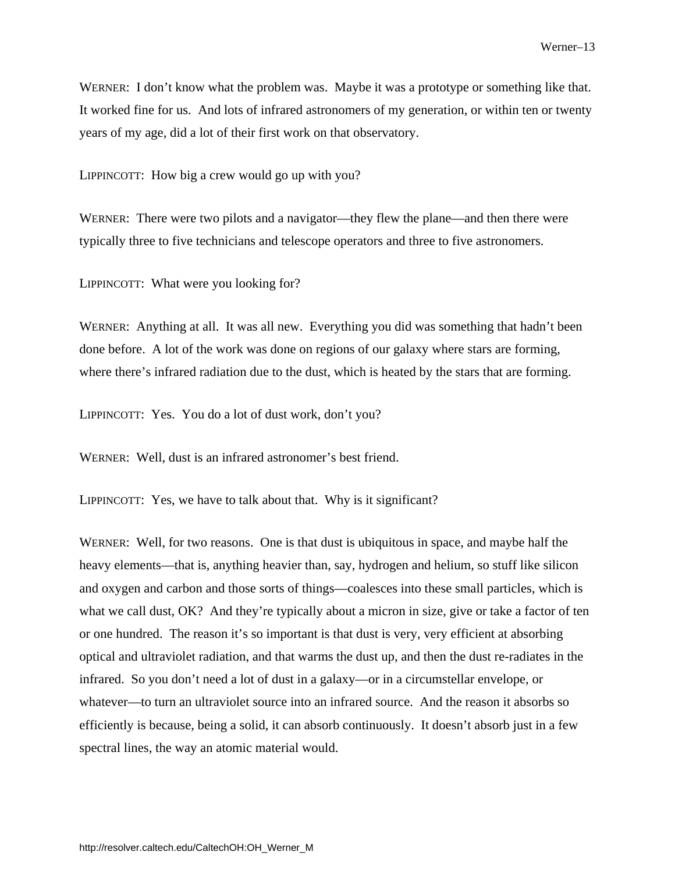WERNER: I don't know what the problem was. Maybe it was a prototype or something like that. It worked fine for us. And lots of infrared astronomers of my generation, or within ten or twenty years of my age, did a lot of their first work on that observatory.

LIPPINCOTT: How big a crew would go up with you?

WERNER: There were two pilots and a navigator—they flew the plane—and then there were typically three to five technicians and telescope operators and three to five astronomers.

LIPPINCOTT: What were you looking for?

WERNER: Anything at all. It was all new. Everything you did was something that hadn't been done before. A lot of the work was done on regions of our galaxy where stars are forming, where there's infrared radiation due to the dust, which is heated by the stars that are forming.

LIPPINCOTT: Yes. You do a lot of dust work, don't you?

WERNER: Well, dust is an infrared astronomer's best friend.

LIPPINCOTT: Yes, we have to talk about that. Why is it significant?

WERNER: Well, for two reasons. One is that dust is ubiquitous in space, and maybe half the heavy elements—that is, anything heavier than, say, hydrogen and helium, so stuff like silicon and oxygen and carbon and those sorts of things—coalesces into these small particles, which is what we call dust, OK? And they're typically about a micron in size, give or take a factor of ten or one hundred. The reason it's so important is that dust is very, very efficient at absorbing optical and ultraviolet radiation, and that warms the dust up, and then the dust re-radiates in the infrared. So you don't need a lot of dust in a galaxy—or in a circumstellar envelope, or whatever—to turn an ultraviolet source into an infrared source. And the reason it absorbs so efficiently is because, being a solid, it can absorb continuously. It doesn't absorb just in a few spectral lines, the way an atomic material would.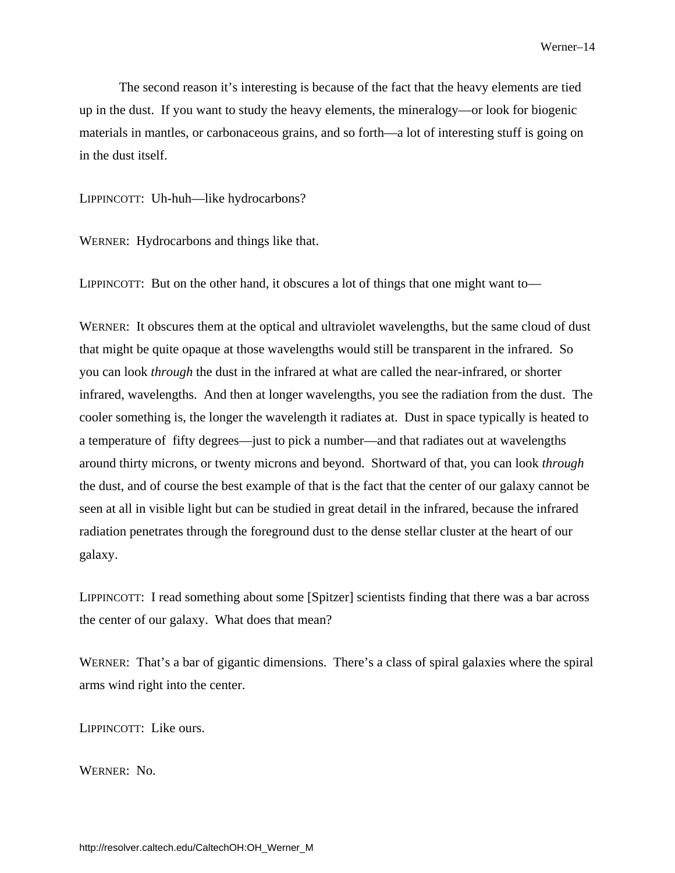The second reason it's interesting is because of the fact that the heavy elements are tied up in the dust. If you want to study the heavy elements, the mineralogy—or look for biogenic materials in mantles, or carbonaceous grains, and so forth—a lot of interesting stuff is going on in the dust itself.

LIPPINCOTT: Uh-huh—like hydrocarbons?

WERNER: Hydrocarbons and things like that.

LIPPINCOTT: But on the other hand, it obscures a lot of things that one might want to—

WERNER: It obscures them at the optical and ultraviolet wavelengths, but the same cloud of dust that might be quite opaque at those wavelengths would still be transparent in the infrared. So you can look *through* the dust in the infrared at what are called the near-infrared, or shorter infrared, wavelengths. And then at longer wavelengths, you see the radiation from the dust. The cooler something is, the longer the wavelength it radiates at. Dust in space typically is heated to a temperature of fifty degrees—just to pick a number—and that radiates out at wavelengths around thirty microns, or twenty microns and beyond. Shortward of that, you can look *through*  the dust, and of course the best example of that is the fact that the center of our galaxy cannot be seen at all in visible light but can be studied in great detail in the infrared, because the infrared radiation penetrates through the foreground dust to the dense stellar cluster at the heart of our galaxy.

LIPPINCOTT: I read something about some [Spitzer] scientists finding that there was a bar across the center of our galaxy. What does that mean?

WERNER: That's a bar of gigantic dimensions. There's a class of spiral galaxies where the spiral arms wind right into the center.

LIPPINCOTT: Like ours.

WERNER: No.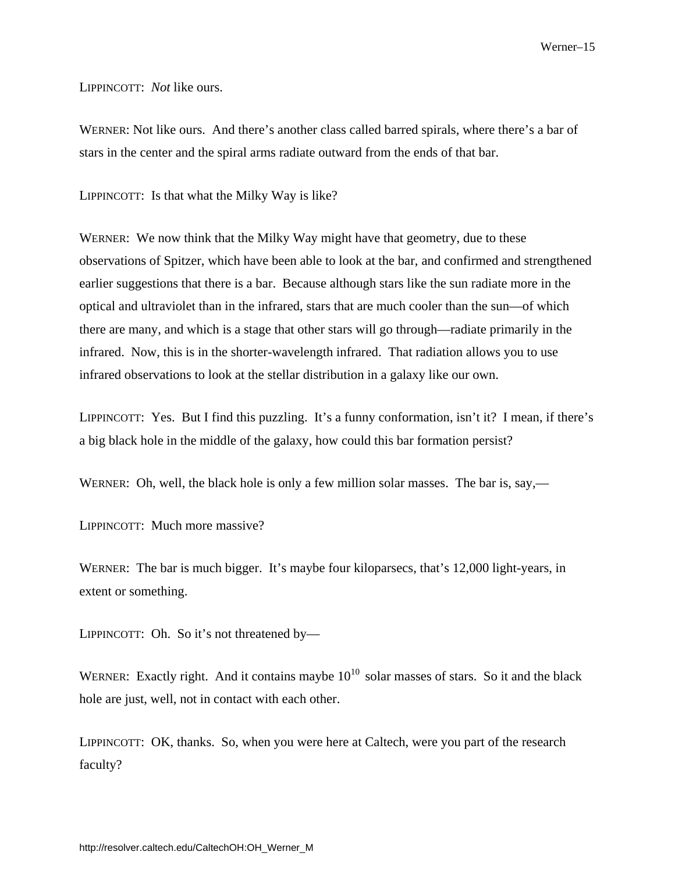LIPPINCOTT: *Not* like ours.

WERNER: Not like ours. And there's another class called barred spirals, where there's a bar of stars in the center and the spiral arms radiate outward from the ends of that bar.

LIPPINCOTT: Is that what the Milky Way is like?

WERNER: We now think that the Milky Way might have that geometry, due to these observations of Spitzer, which have been able to look at the bar, and confirmed and strengthened earlier suggestions that there is a bar. Because although stars like the sun radiate more in the optical and ultraviolet than in the infrared, stars that are much cooler than the sun—of which there are many, and which is a stage that other stars will go through—radiate primarily in the infrared. Now, this is in the shorter-wavelength infrared. That radiation allows you to use infrared observations to look at the stellar distribution in a galaxy like our own.

LIPPINCOTT: Yes. But I find this puzzling. It's a funny conformation, isn't it? I mean, if there's a big black hole in the middle of the galaxy, how could this bar formation persist?

WERNER: Oh, well, the black hole is only a few million solar masses. The bar is, say,—

LIPPINCOTT: Much more massive?

WERNER: The bar is much bigger. It's maybe four kiloparsecs, that's 12,000 light-years, in extent or something.

LIPPINCOTT: Oh. So it's not threatened by—

WERNER: Exactly right. And it contains maybe  $10^{10}$  solar masses of stars. So it and the black hole are just, well, not in contact with each other.

LIPPINCOTT: OK, thanks. So, when you were here at Caltech, were you part of the research faculty?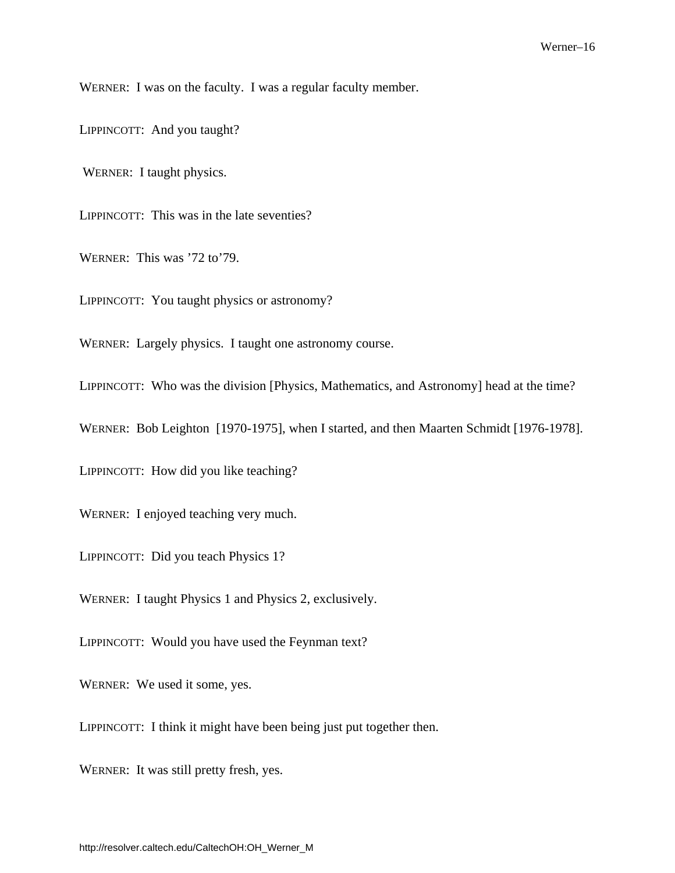WERNER: I was on the faculty. I was a regular faculty member.

LIPPINCOTT: And you taught?

WERNER: I taught physics.

LIPPINCOTT: This was in the late seventies?

WERNER: This was '72 to'79.

LIPPINCOTT: You taught physics or astronomy?

WERNER: Largely physics. I taught one astronomy course.

LIPPINCOTT: Who was the division [Physics, Mathematics, and Astronomy] head at the time?

WERNER: Bob Leighton [1970-1975], when I started, and then Maarten Schmidt [1976-1978].

LIPPINCOTT: How did you like teaching?

WERNER: I enjoyed teaching very much.

LIPPINCOTT: Did you teach Physics 1?

WERNER: I taught Physics 1 and Physics 2, exclusively.

LIPPINCOTT: Would you have used the Feynman text?

WERNER: We used it some, yes.

LIPPINCOTT: I think it might have been being just put together then.

WERNER: It was still pretty fresh, yes.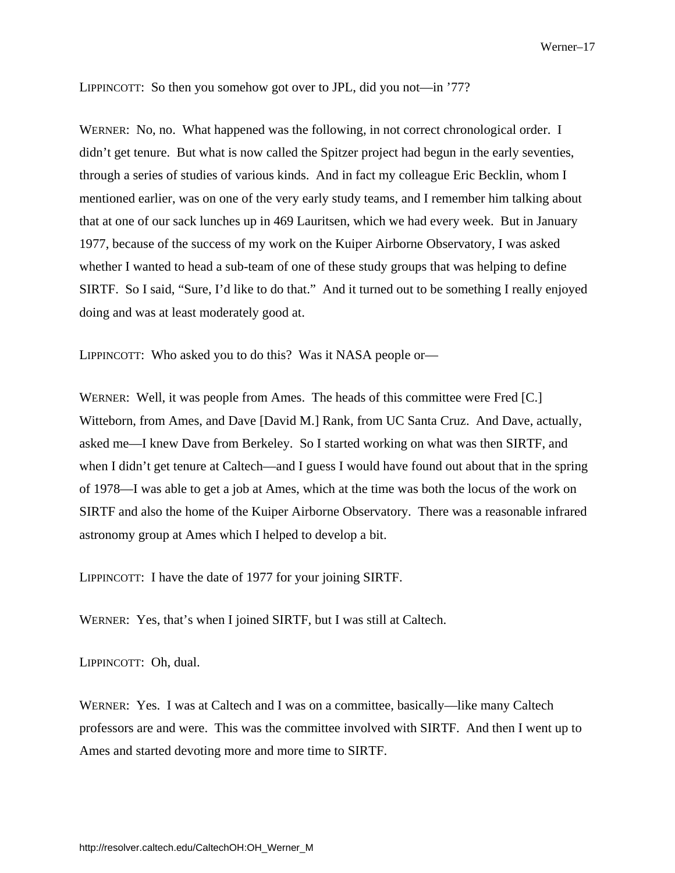LIPPINCOTT: So then you somehow got over to JPL, did you not—in '77?

WERNER: No, no. What happened was the following, in not correct chronological order. I didn't get tenure. But what is now called the Spitzer project had begun in the early seventies, through a series of studies of various kinds. And in fact my colleague Eric Becklin, whom I mentioned earlier, was on one of the very early study teams, and I remember him talking about that at one of our sack lunches up in 469 Lauritsen, which we had every week. But in January 1977, because of the success of my work on the Kuiper Airborne Observatory, I was asked whether I wanted to head a sub-team of one of these study groups that was helping to define SIRTF. So I said, "Sure, I'd like to do that." And it turned out to be something I really enjoyed doing and was at least moderately good at.

LIPPINCOTT: Who asked you to do this? Was it NASA people or—

WERNER: Well, it was people from Ames. The heads of this committee were Fred [C.] Witteborn, from Ames, and Dave [David M.] Rank, from UC Santa Cruz. And Dave, actually, asked me—I knew Dave from Berkeley. So I started working on what was then SIRTF, and when I didn't get tenure at Caltech—and I guess I would have found out about that in the spring of 1978—I was able to get a job at Ames, which at the time was both the locus of the work on SIRTF and also the home of the Kuiper Airborne Observatory. There was a reasonable infrared astronomy group at Ames which I helped to develop a bit.

LIPPINCOTT: I have the date of 1977 for your joining SIRTF.

WERNER: Yes, that's when I joined SIRTF, but I was still at Caltech.

LIPPINCOTT: Oh, dual.

WERNER: Yes. I was at Caltech and I was on a committee, basically—like many Caltech professors are and were. This was the committee involved with SIRTF. And then I went up to Ames and started devoting more and more time to SIRTF.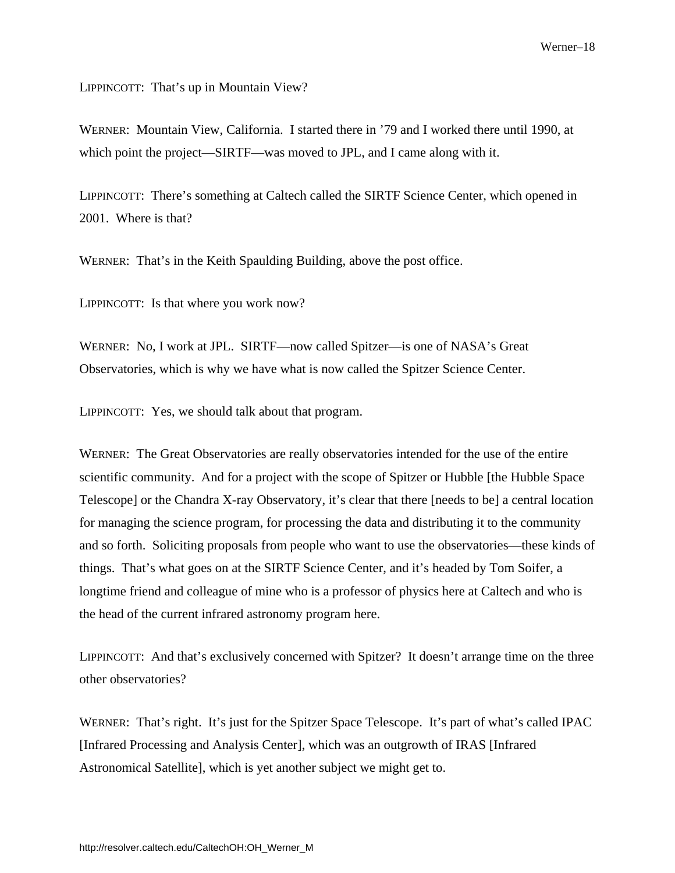<span id="page-21-0"></span>LIPPINCOTT: That's up in Mountain View?

WERNER: Mountain View, California. I started there in '79 and I worked there until 1990, at which point the project—SIRTF—was moved to JPL, and I came along with it.

LIPPINCOTT: There's something at Caltech called the SIRTF Science Center, which opened in 2001. Where is that?

WERNER: That's in the Keith Spaulding Building, above the post office.

LIPPINCOTT: Is that where you work now?

WERNER: No, I work at JPL. SIRTF—now called Spitzer—is one of NASA's Great Observatories, which is why we have what is now called the Spitzer Science Center.

LIPPINCOTT: Yes, we should talk about that program.

WERNER: The Great Observatories are really observatories intended for the use of the entire scientific community. And for a project with the scope of Spitzer or Hubble [the Hubble Space Telescope] or the Chandra X-ray Observatory, it's clear that there [needs to be] a central location for managing the science program, for processing the data and distributing it to the community and so forth. Soliciting proposals from people who want to use the observatories—these kinds of things. That's what goes on at the SIRTF Science Center, and it's headed by Tom Soifer, a longtime friend and colleague of mine who is a professor of physics here at Caltech and who is the head of the current infrared astronomy program here.

LIPPINCOTT: And that's exclusively concerned with Spitzer? It doesn't arrange time on the three other observatories?

WERNER: That's right. It's just for the Spitzer Space Telescope. It's part of what's called IPAC [Infrared Processing and Analysis Center], which was an outgrowth of IRAS [Infrared Astronomical Satellite], which is yet another subject we might get to.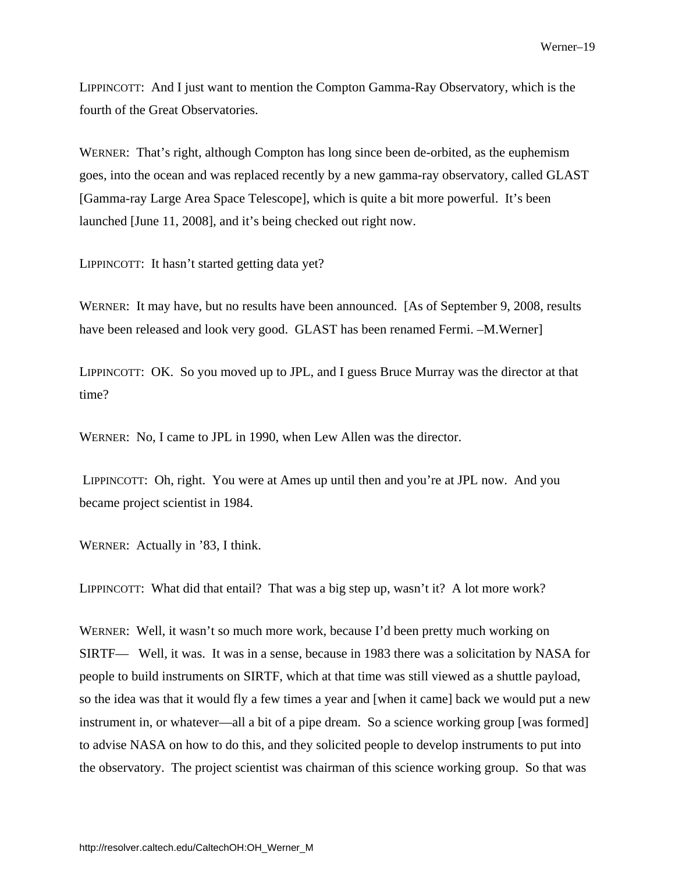LIPPINCOTT: And I just want to mention the Compton Gamma-Ray Observatory, which is the fourth of the Great Observatories.

WERNER: That's right, although Compton has long since been de-orbited, as the euphemism goes, into the ocean and was replaced recently by a new gamma-ray observatory, called GLAST [Gamma-ray Large Area Space Telescope], which is quite a bit more powerful. It's been launched [June 11, 2008], and it's being checked out right now.

LIPPINCOTT: It hasn't started getting data yet?

WERNER: It may have, but no results have been announced. [As of September 9, 2008, results have been released and look very good. GLAST has been renamed Fermi. -M.Werner]

LIPPINCOTT: OK. So you moved up to JPL, and I guess Bruce Murray was the director at that time?

WERNER: No, I came to JPL in 1990, when Lew Allen was the director.

 LIPPINCOTT: Oh, right. You were at Ames up until then and you're at JPL now. And you became project scientist in 1984.

WERNER: Actually in '83, I think.

LIPPINCOTT: What did that entail? That was a big step up, wasn't it? A lot more work?

WERNER: Well, it wasn't so much more work, because I'd been pretty much working on SIRTF— Well, it was. It was in a sense, because in 1983 there was a solicitation by NASA for people to build instruments on SIRTF, which at that time was still viewed as a shuttle payload, so the idea was that it would fly a few times a year and [when it came] back we would put a new instrument in, or whatever—all a bit of a pipe dream. So a science working group [was formed] to advise NASA on how to do this, and they solicited people to develop instruments to put into the observatory. The project scientist was chairman of this science working group. So that was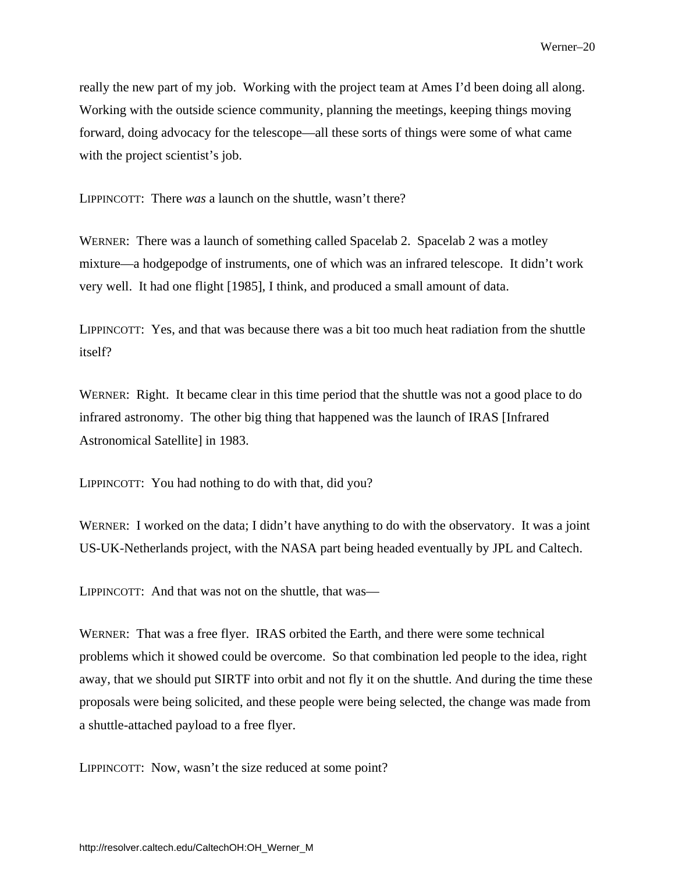really the new part of my job. Working with the project team at Ames I'd been doing all along. Working with the outside science community, planning the meetings, keeping things moving forward, doing advocacy for the telescope—all these sorts of things were some of what came with the project scientist's job.

LIPPINCOTT: There *was* a launch on the shuttle, wasn't there?

WERNER: There was a launch of something called Spacelab 2. Spacelab 2 was a motley mixture—a hodgepodge of instruments, one of which was an infrared telescope. It didn't work very well. It had one flight [1985], I think, and produced a small amount of data.

LIPPINCOTT: Yes, and that was because there was a bit too much heat radiation from the shuttle itself?

WERNER: Right. It became clear in this time period that the shuttle was not a good place to do infrared astronomy. The other big thing that happened was the launch of IRAS [Infrared Astronomical Satellite] in 1983.

LIPPINCOTT: You had nothing to do with that, did you?

WERNER: I worked on the data; I didn't have anything to do with the observatory. It was a joint US-UK-Netherlands project, with the NASA part being headed eventually by JPL and Caltech.

LIPPINCOTT: And that was not on the shuttle, that was—

WERNER: That was a free flyer. IRAS orbited the Earth, and there were some technical problems which it showed could be overcome. So that combination led people to the idea, right away, that we should put SIRTF into orbit and not fly it on the shuttle. And during the time these proposals were being solicited, and these people were being selected, the change was made from a shuttle-attached payload to a free flyer.

LIPPINCOTT: Now, wasn't the size reduced at some point?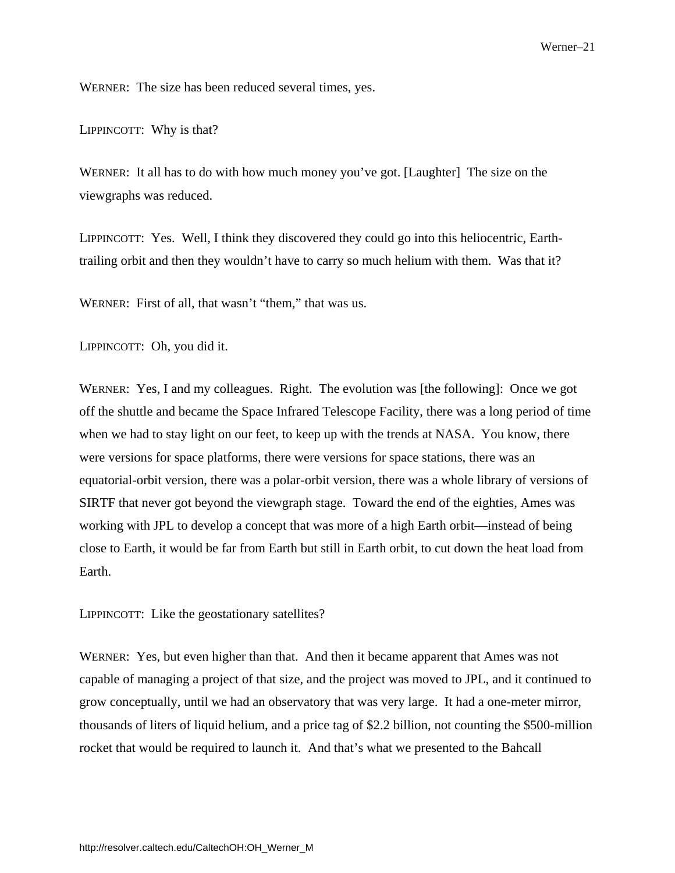WERNER: The size has been reduced several times, yes.

LIPPINCOTT: Why is that?

WERNER: It all has to do with how much money you've got. [Laughter] The size on the viewgraphs was reduced.

LIPPINCOTT: Yes. Well, I think they discovered they could go into this heliocentric, Earthtrailing orbit and then they wouldn't have to carry so much helium with them. Was that it?

WERNER: First of all, that wasn't "them," that was us.

LIPPINCOTT: Oh, you did it.

WERNER: Yes, I and my colleagues. Right. The evolution was [the following]: Once we got off the shuttle and became the Space Infrared Telescope Facility, there was a long period of time when we had to stay light on our feet, to keep up with the trends at NASA. You know, there were versions for space platforms, there were versions for space stations, there was an equatorial-orbit version, there was a polar-orbit version, there was a whole library of versions of SIRTF that never got beyond the viewgraph stage. Toward the end of the eighties, Ames was working with JPL to develop a concept that was more of a high Earth orbit—instead of being close to Earth, it would be far from Earth but still in Earth orbit, to cut down the heat load from Earth.

LIPPINCOTT: Like the geostationary satellites?

WERNER: Yes, but even higher than that. And then it became apparent that Ames was not capable of managing a project of that size, and the project was moved to JPL, and it continued to grow conceptually, until we had an observatory that was very large. It had a one-meter mirror, thousands of liters of liquid helium, and a price tag of \$2.2 billion, not counting the \$500-million rocket that would be required to launch it. And that's what we presented to the Bahcall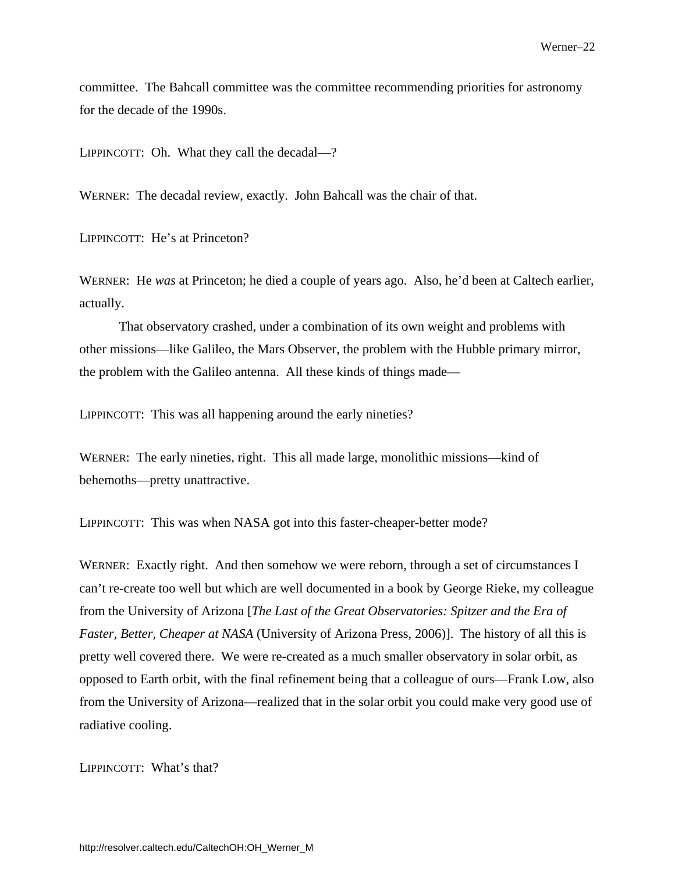committee. The Bahcall committee was the committee recommending priorities for astronomy for the decade of the 1990s.

LIPPINCOTT: Oh. What they call the decadal—?

WERNER: The decadal review, exactly. John Bahcall was the chair of that.

LIPPINCOTT: He's at Princeton?

WERNER: He *was* at Princeton; he died a couple of years ago. Also, he'd been at Caltech earlier, actually.

That observatory crashed, under a combination of its own weight and problems with other missions—like Galileo, the Mars Observer, the problem with the Hubble primary mirror, the problem with the Galileo antenna. All these kinds of things made—

LIPPINCOTT: This was all happening around the early nineties?

WERNER: The early nineties, right. This all made large, monolithic missions—kind of behemoths—pretty unattractive.

LIPPINCOTT: This was when NASA got into this faster-cheaper-better mode?

WERNER: Exactly right. And then somehow we were reborn, through a set of circumstances I can't re-create too well but which are well documented in a book by George Rieke, my colleague from the University of Arizona [*The Last of the Great Observatories: Spitzer and the Era of Faster, Better, Cheaper at NASA* (University of Arizona Press, 2006)]. The history of all this is pretty well covered there. We were re-created as a much smaller observatory in solar orbit, as opposed to Earth orbit, with the final refinement being that a colleague of ours—Frank Low, also from the University of Arizona—realized that in the solar orbit you could make very good use of radiative cooling.

LIPPINCOTT: What's that?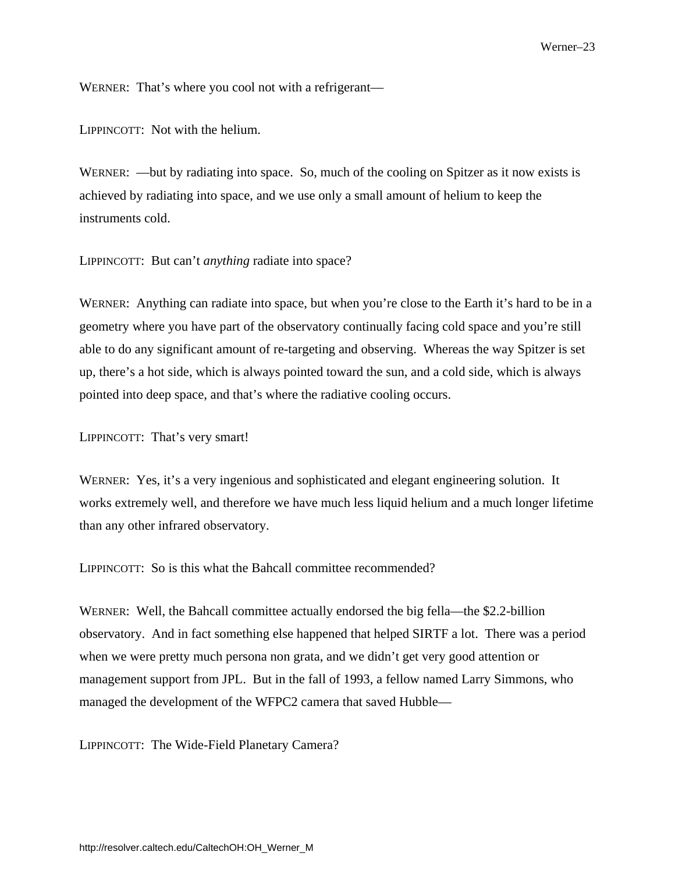WERNER: That's where you cool not with a refrigerant—

LIPPINCOTT: Not with the helium.

WERNER: —but by radiating into space. So, much of the cooling on Spitzer as it now exists is achieved by radiating into space, and we use only a small amount of helium to keep the instruments cold.

LIPPINCOTT: But can't *anything* radiate into space?

WERNER: Anything can radiate into space, but when you're close to the Earth it's hard to be in a geometry where you have part of the observatory continually facing cold space and you're still able to do any significant amount of re-targeting and observing. Whereas the way Spitzer is set up, there's a hot side, which is always pointed toward the sun, and a cold side, which is always pointed into deep space, and that's where the radiative cooling occurs.

LIPPINCOTT: That's very smart!

WERNER: Yes, it's a very ingenious and sophisticated and elegant engineering solution. It works extremely well, and therefore we have much less liquid helium and a much longer lifetime than any other infrared observatory.

LIPPINCOTT: So is this what the Bahcall committee recommended?

WERNER: Well, the Bahcall committee actually endorsed the big fella—the \$2.2-billion observatory. And in fact something else happened that helped SIRTF a lot. There was a period when we were pretty much persona non grata, and we didn't get very good attention or management support from JPL. But in the fall of 1993, a fellow named Larry Simmons, who managed the development of the WFPC2 camera that saved Hubble—

LIPPINCOTT: The Wide-Field Planetary Camera?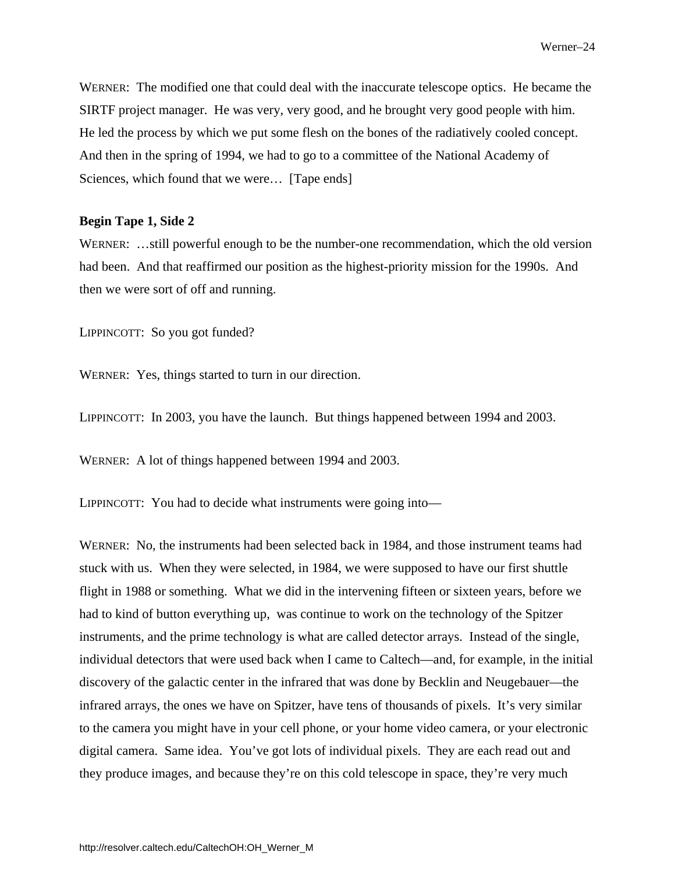WERNER: The modified one that could deal with the inaccurate telescope optics. He became the SIRTF project manager. He was very, very good, and he brought very good people with him. He led the process by which we put some flesh on the bones of the radiatively cooled concept. And then in the spring of 1994, we had to go to a committee of the National Academy of Sciences, which found that we were... [Tape ends]

#### **Begin Tape 1, Side 2**

WERNER: ...still powerful enough to be the number-one recommendation, which the old version had been. And that reaffirmed our position as the highest-priority mission for the 1990s. And then we were sort of off and running.

LIPPINCOTT: So you got funded?

WERNER: Yes, things started to turn in our direction.

LIPPINCOTT: In 2003, you have the launch. But things happened between 1994 and 2003.

WERNER: A lot of things happened between 1994 and 2003.

LIPPINCOTT: You had to decide what instruments were going into—

WERNER: No, the instruments had been selected back in 1984, and those instrument teams had stuck with us. When they were selected, in 1984, we were supposed to have our first shuttle flight in 1988 or something. What we did in the intervening fifteen or sixteen years, before we had to kind of button everything up, was continue to work on the technology of the Spitzer instruments, and the prime technology is what are called detector arrays. Instead of the single, individual detectors that were used back when I came to Caltech—and, for example, in the initial discovery of the galactic center in the infrared that was done by Becklin and Neugebauer—the infrared arrays, the ones we have on Spitzer, have tens of thousands of pixels. It's very similar to the camera you might have in your cell phone, or your home video camera, or your electronic digital camera. Same idea. You've got lots of individual pixels. They are each read out and they produce images, and because they're on this cold telescope in space, they're very much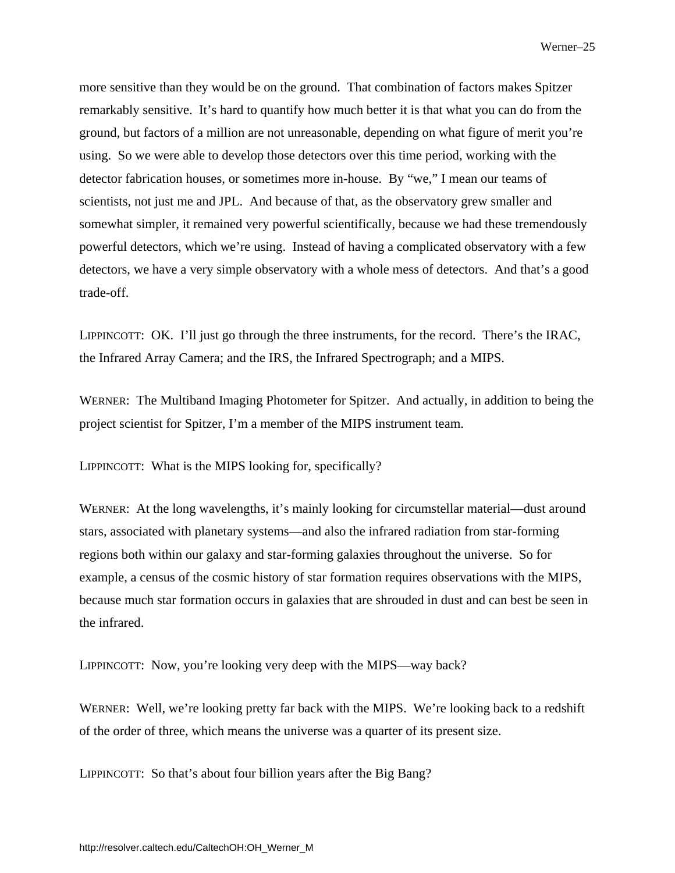more sensitive than they would be on the ground. That combination of factors makes Spitzer remarkably sensitive. It's hard to quantify how much better it is that what you can do from the ground, but factors of a million are not unreasonable, depending on what figure of merit you're using. So we were able to develop those detectors over this time period, working with the detector fabrication houses, or sometimes more in-house. By "we," I mean our teams of scientists, not just me and JPL. And because of that, as the observatory grew smaller and somewhat simpler, it remained very powerful scientifically, because we had these tremendously powerful detectors, which we're using. Instead of having a complicated observatory with a few detectors, we have a very simple observatory with a whole mess of detectors. And that's a good trade-off.

LIPPINCOTT: OK. I'll just go through the three instruments, for the record. There's the IRAC, the Infrared Array Camera; and the IRS, the Infrared Spectrograph; and a MIPS.

WERNER: The Multiband Imaging Photometer for Spitzer. And actually, in addition to being the project scientist for Spitzer, I'm a member of the MIPS instrument team.

LIPPINCOTT: What is the MIPS looking for, specifically?

WERNER: At the long wavelengths, it's mainly looking for circumstellar material—dust around stars, associated with planetary systems—and also the infrared radiation from star-forming regions both within our galaxy and star-forming galaxies throughout the universe. So for example, a census of the cosmic history of star formation requires observations with the MIPS, because much star formation occurs in galaxies that are shrouded in dust and can best be seen in the infrared.

LIPPINCOTT: Now, you're looking very deep with the MIPS—way back?

WERNER: Well, we're looking pretty far back with the MIPS. We're looking back to a redshift of the order of three, which means the universe was a quarter of its present size.

LIPPINCOTT: So that's about four billion years after the Big Bang?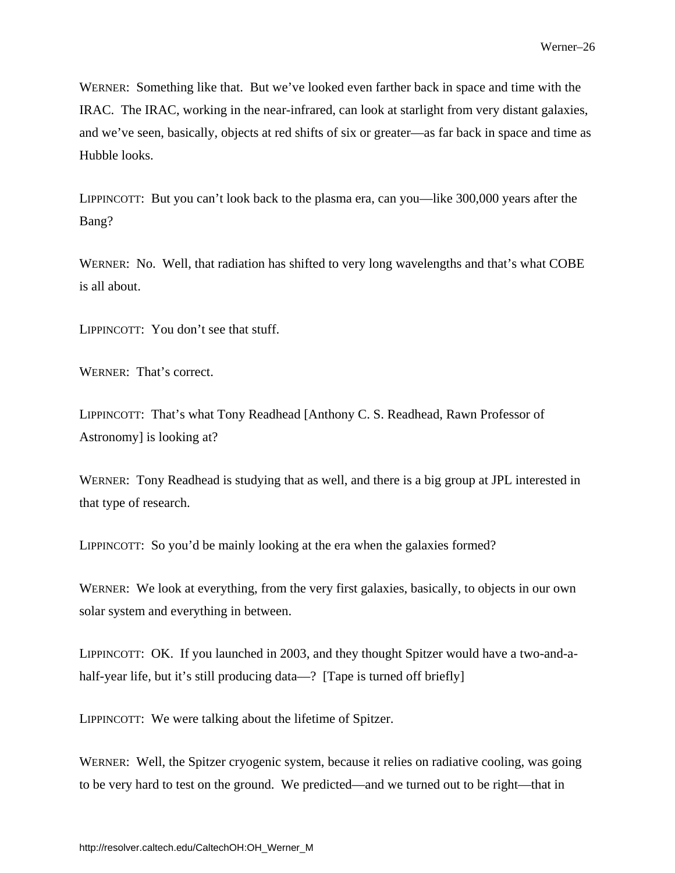WERNER: Something like that. But we've looked even farther back in space and time with the IRAC. The IRAC, working in the near-infrared, can look at starlight from very distant galaxies, and we've seen, basically, objects at red shifts of six or greater—as far back in space and time as Hubble looks.

LIPPINCOTT: But you can't look back to the plasma era, can you—like 300,000 years after the Bang?

WERNER: No. Well, that radiation has shifted to very long wavelengths and that's what COBE is all about.

LIPPINCOTT: You don't see that stuff.

WERNER: That's correct.

LIPPINCOTT: That's what Tony Readhead [Anthony C. S. Readhead, Rawn Professor of Astronomy] is looking at?

WERNER: Tony Readhead is studying that as well, and there is a big group at JPL interested in that type of research.

LIPPINCOTT: So you'd be mainly looking at the era when the galaxies formed?

WERNER: We look at everything, from the very first galaxies, basically, to objects in our own solar system and everything in between.

LIPPINCOTT: OK. If you launched in 2003, and they thought Spitzer would have a two-and-ahalf-year life, but it's still producing data—? [Tape is turned off briefly]

LIPPINCOTT: We were talking about the lifetime of Spitzer.

WERNER: Well, the Spitzer cryogenic system, because it relies on radiative cooling, was going to be very hard to test on the ground. We predicted—and we turned out to be right—that in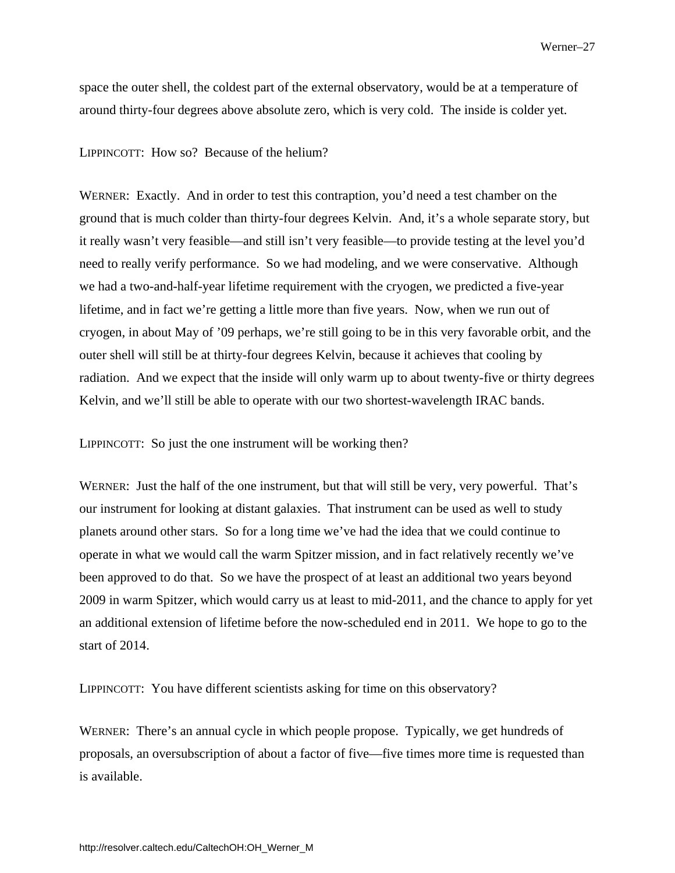space the outer shell, the coldest part of the external observatory, would be at a temperature of around thirty-four degrees above absolute zero, which is very cold. The inside is colder yet.

#### LIPPINCOTT: How so? Because of the helium?

WERNER: Exactly. And in order to test this contraption, you'd need a test chamber on the ground that is much colder than thirty-four degrees Kelvin. And, it's a whole separate story, but it really wasn't very feasible—and still isn't very feasible—to provide testing at the level you'd need to really verify performance. So we had modeling, and we were conservative. Although we had a two-and-half-year lifetime requirement with the cryogen, we predicted a five-year lifetime, and in fact we're getting a little more than five years. Now, when we run out of cryogen, in about May of '09 perhaps, we're still going to be in this very favorable orbit, and the outer shell will still be at thirty-four degrees Kelvin, because it achieves that cooling by radiation. And we expect that the inside will only warm up to about twenty-five or thirty degrees Kelvin, and we'll still be able to operate with our two shortest-wavelength IRAC bands.

LIPPINCOTT: So just the one instrument will be working then?

WERNER: Just the half of the one instrument, but that will still be very, very powerful. That's our instrument for looking at distant galaxies. That instrument can be used as well to study planets around other stars. So for a long time we've had the idea that we could continue to operate in what we would call the warm Spitzer mission, and in fact relatively recently we've been approved to do that. So we have the prospect of at least an additional two years beyond 2009 in warm Spitzer, which would carry us at least to mid-2011, and the chance to apply for yet an additional extension of lifetime before the now-scheduled end in 2011. We hope to go to the start of 2014.

LIPPINCOTT: You have different scientists asking for time on this observatory?

WERNER: There's an annual cycle in which people propose. Typically, we get hundreds of proposals, an oversubscription of about a factor of five—five times more time is requested than is available.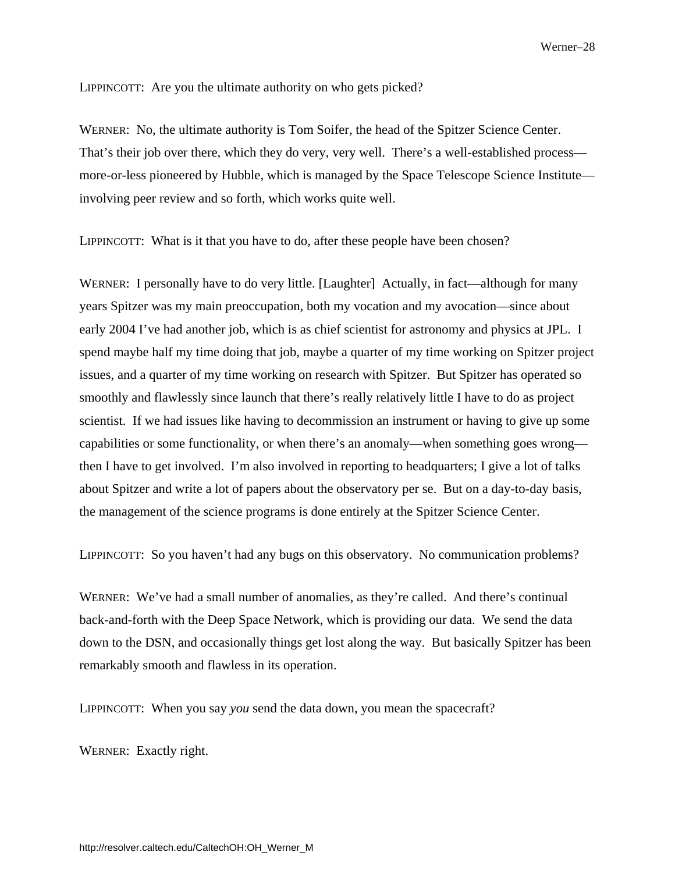LIPPINCOTT: Are you the ultimate authority on who gets picked?

WERNER: No, the ultimate authority is Tom Soifer, the head of the Spitzer Science Center. That's their job over there, which they do very, very well. There's a well-established process more-or-less pioneered by Hubble, which is managed by the Space Telescope Science Institute involving peer review and so forth, which works quite well.

LIPPINCOTT: What is it that you have to do, after these people have been chosen?

WERNER: I personally have to do very little. [Laughter] Actually, in fact—although for many years Spitzer was my main preoccupation, both my vocation and my avocation—since about early 2004 I've had another job, which is as chief scientist for astronomy and physics at JPL. I spend maybe half my time doing that job, maybe a quarter of my time working on Spitzer project issues, and a quarter of my time working on research with Spitzer. But Spitzer has operated so smoothly and flawlessly since launch that there's really relatively little I have to do as project scientist. If we had issues like having to decommission an instrument or having to give up some capabilities or some functionality, or when there's an anomaly—when something goes wrong then I have to get involved. I'm also involved in reporting to headquarters; I give a lot of talks about Spitzer and write a lot of papers about the observatory per se. But on a day-to-day basis, the management of the science programs is done entirely at the Spitzer Science Center.

LIPPINCOTT: So you haven't had any bugs on this observatory. No communication problems?

WERNER: We've had a small number of anomalies, as they're called. And there's continual back-and-forth with the Deep Space Network, which is providing our data. We send the data down to the DSN, and occasionally things get lost along the way. But basically Spitzer has been remarkably smooth and flawless in its operation.

LIPPINCOTT: When you say *you* send the data down, you mean the spacecraft?

WERNER: Exactly right.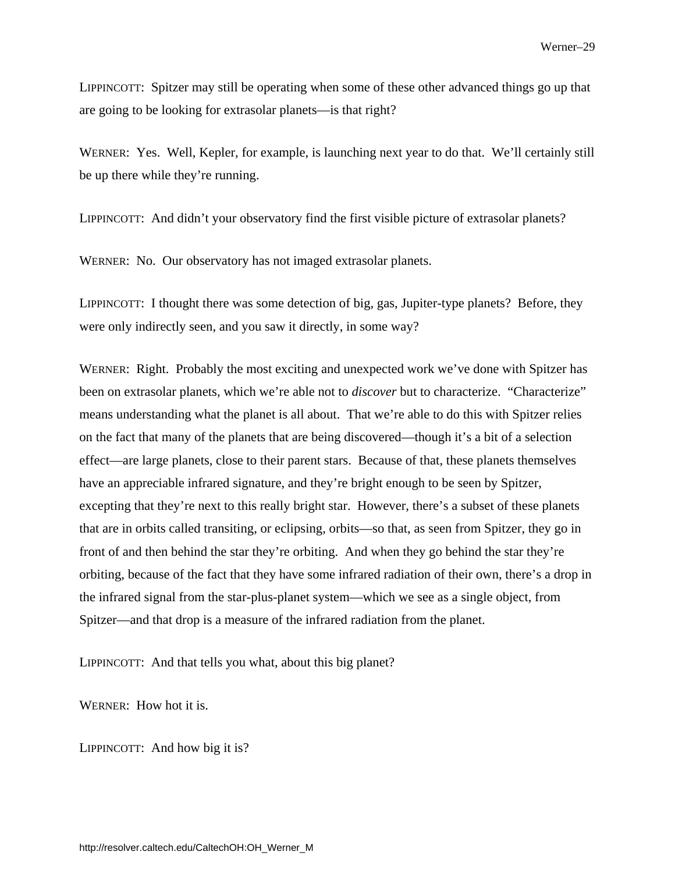LIPPINCOTT: Spitzer may still be operating when some of these other advanced things go up that are going to be looking for extrasolar planets—is that right?

WERNER: Yes. Well, Kepler, for example, is launching next year to do that. We'll certainly still be up there while they're running.

LIPPINCOTT: And didn't your observatory find the first visible picture of extrasolar planets?

WERNER: No. Our observatory has not imaged extrasolar planets.

LIPPINCOTT: I thought there was some detection of big, gas, Jupiter-type planets? Before, they were only indirectly seen, and you saw it directly, in some way?

WERNER: Right. Probably the most exciting and unexpected work we've done with Spitzer has been on extrasolar planets, which we're able not to *discover* but to characterize. "Characterize" means understanding what the planet is all about. That we're able to do this with Spitzer relies on the fact that many of the planets that are being discovered—though it's a bit of a selection effect—are large planets, close to their parent stars. Because of that, these planets themselves have an appreciable infrared signature, and they're bright enough to be seen by Spitzer, excepting that they're next to this really bright star. However, there's a subset of these planets that are in orbits called transiting, or eclipsing, orbits—so that, as seen from Spitzer, they go in front of and then behind the star they're orbiting. And when they go behind the star they're orbiting, because of the fact that they have some infrared radiation of their own, there's a drop in the infrared signal from the star-plus-planet system—which we see as a single object, from Spitzer—and that drop is a measure of the infrared radiation from the planet.

LIPPINCOTT: And that tells you what, about this big planet?

WERNER: How hot it is.

LIPPINCOTT: And how big it is?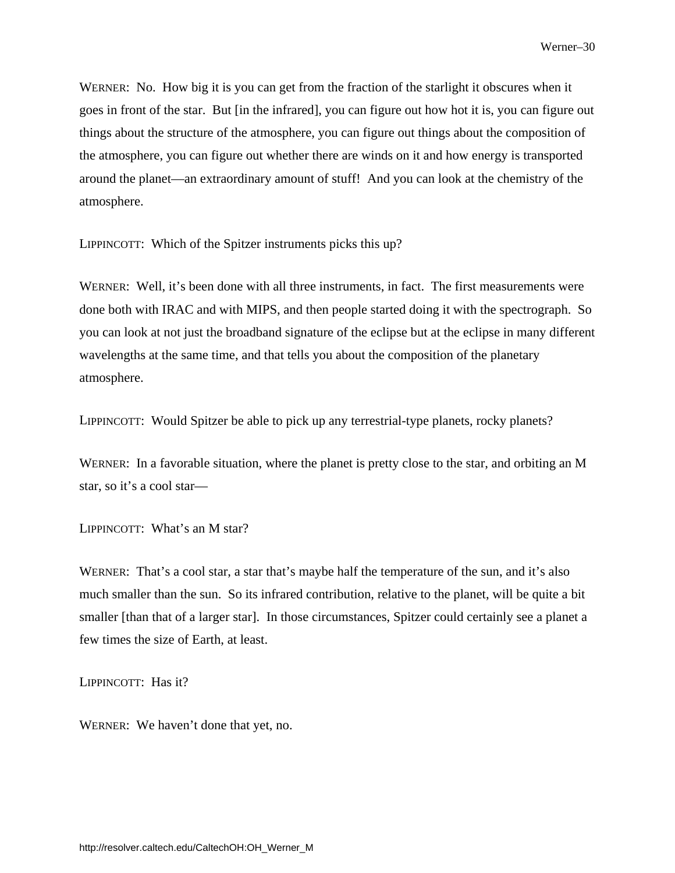WERNER: No. How big it is you can get from the fraction of the starlight it obscures when it goes in front of the star. But [in the infrared], you can figure out how hot it is, you can figure out things about the structure of the atmosphere, you can figure out things about the composition of the atmosphere, you can figure out whether there are winds on it and how energy is transported around the planet—an extraordinary amount of stuff! And you can look at the chemistry of the atmosphere.

LIPPINCOTT: Which of the Spitzer instruments picks this up?

WERNER: Well, it's been done with all three instruments, in fact. The first measurements were done both with IRAC and with MIPS, and then people started doing it with the spectrograph. So you can look at not just the broadband signature of the eclipse but at the eclipse in many different wavelengths at the same time, and that tells you about the composition of the planetary atmosphere.

LIPPINCOTT: Would Spitzer be able to pick up any terrestrial-type planets, rocky planets?

WERNER: In a favorable situation, where the planet is pretty close to the star, and orbiting an M star, so it's a cool star—

LIPPINCOTT: What's an M star?

WERNER: That's a cool star, a star that's maybe half the temperature of the sun, and it's also much smaller than the sun. So its infrared contribution, relative to the planet, will be quite a bit smaller [than that of a larger star]. In those circumstances, Spitzer could certainly see a planet a few times the size of Earth, at least.

LIPPINCOTT: Has it?

WERNER: We haven't done that yet, no.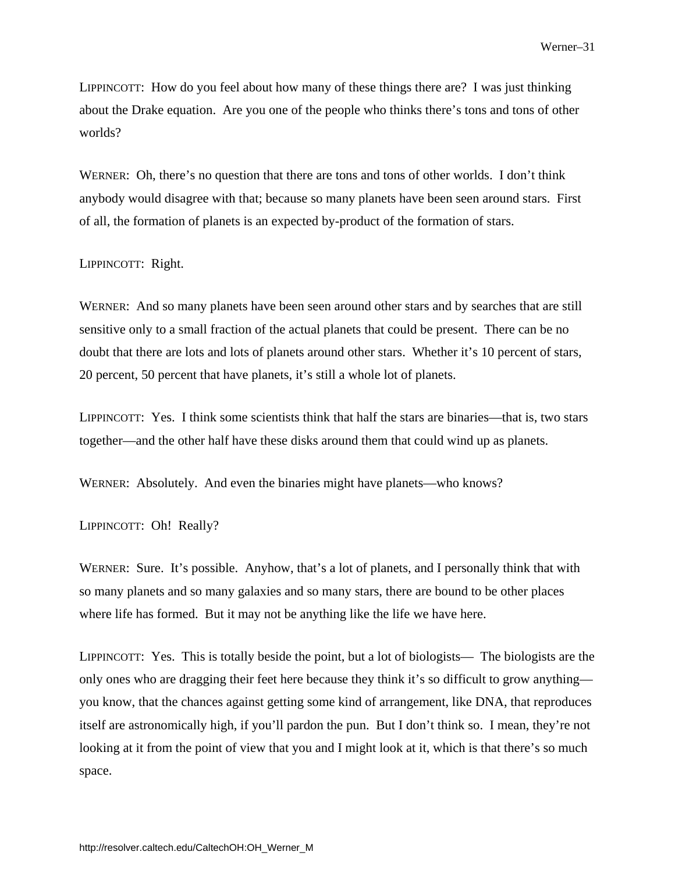LIPPINCOTT: How do you feel about how many of these things there are? I was just thinking about the Drake equation. Are you one of the people who thinks there's tons and tons of other worlds?

WERNER: Oh, there's no question that there are tons and tons of other worlds. I don't think anybody would disagree with that; because so many planets have been seen around stars. First of all, the formation of planets is an expected by-product of the formation of stars.

#### LIPPINCOTT: Right.

WERNER: And so many planets have been seen around other stars and by searches that are still sensitive only to a small fraction of the actual planets that could be present. There can be no doubt that there are lots and lots of planets around other stars. Whether it's 10 percent of stars, 20 percent, 50 percent that have planets, it's still a whole lot of planets.

LIPPINCOTT: Yes. I think some scientists think that half the stars are binaries—that is, two stars together—and the other half have these disks around them that could wind up as planets.

WERNER: Absolutely. And even the binaries might have planets—who knows?

LIPPINCOTT: Oh! Really?

WERNER: Sure. It's possible. Anyhow, that's a lot of planets, and I personally think that with so many planets and so many galaxies and so many stars, there are bound to be other places where life has formed. But it may not be anything like the life we have here.

LIPPINCOTT: Yes. This is totally beside the point, but a lot of biologists— The biologists are the only ones who are dragging their feet here because they think it's so difficult to grow anything you know, that the chances against getting some kind of arrangement, like DNA, that reproduces itself are astronomically high, if you'll pardon the pun. But I don't think so. I mean, they're not looking at it from the point of view that you and I might look at it, which is that there's so much space.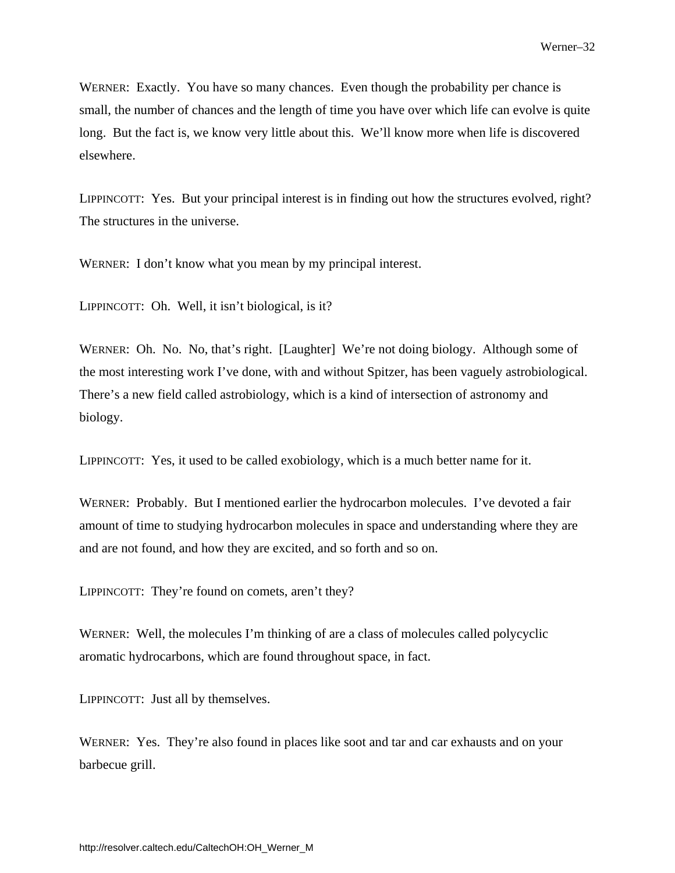WERNER: Exactly. You have so many chances. Even though the probability per chance is small, the number of chances and the length of time you have over which life can evolve is quite long. But the fact is, we know very little about this. We'll know more when life is discovered elsewhere.

LIPPINCOTT: Yes. But your principal interest is in finding out how the structures evolved, right? The structures in the universe.

WERNER: I don't know what you mean by my principal interest.

LIPPINCOTT: Oh. Well, it isn't biological, is it?

WERNER: Oh. No. No, that's right. [Laughter] We're not doing biology. Although some of the most interesting work I've done, with and without Spitzer, has been vaguely astrobiological. There's a new field called astrobiology, which is a kind of intersection of astronomy and biology.

LIPPINCOTT: Yes, it used to be called exobiology, which is a much better name for it.

WERNER: Probably. But I mentioned earlier the hydrocarbon molecules. I've devoted a fair amount of time to studying hydrocarbon molecules in space and understanding where they are and are not found, and how they are excited, and so forth and so on.

LIPPINCOTT: They're found on comets, aren't they?

WERNER: Well, the molecules I'm thinking of are a class of molecules called polycyclic aromatic hydrocarbons, which are found throughout space, in fact.

LIPPINCOTT: Just all by themselves.

WERNER: Yes. They're also found in places like soot and tar and car exhausts and on your barbecue grill.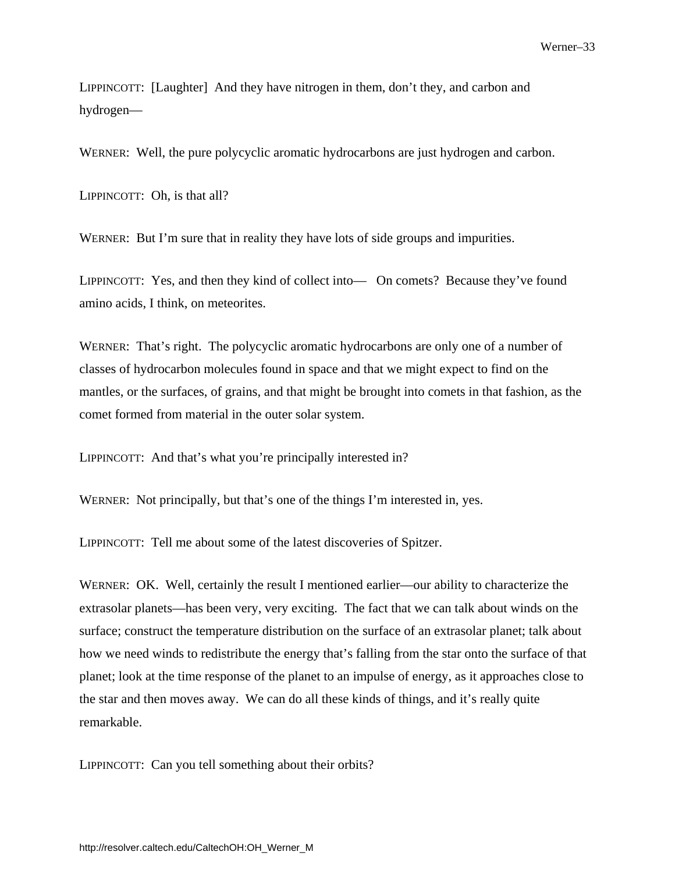<span id="page-36-0"></span>LIPPINCOTT: [Laughter] And they have nitrogen in them, don't they, and carbon and hydrogen—

WERNER: Well, the pure polycyclic aromatic hydrocarbons are just hydrogen and carbon.

LIPPINCOTT: Oh, is that all?

WERNER: But I'm sure that in reality they have lots of side groups and impurities.

LIPPINCOTT: Yes, and then they kind of collect into— On comets? Because they've found amino acids, I think, on meteorites.

WERNER: That's right. The polycyclic aromatic hydrocarbons are only one of a number of classes of hydrocarbon molecules found in space and that we might expect to find on the mantles, or the surfaces, of grains, and that might be brought into comets in that fashion, as the comet formed from material in the outer solar system.

LIPPINCOTT: And that's what you're principally interested in?

WERNER: Not principally, but that's one of the things I'm interested in, yes.

LIPPINCOTT: Tell me about some of the latest discoveries of Spitzer.

WERNER: OK. Well, certainly the result I mentioned earlier—our ability to characterize the extrasolar planets—has been very, very exciting. The fact that we can talk about winds on the surface; construct the temperature distribution on the surface of an extrasolar planet; talk about how we need winds to redistribute the energy that's falling from the star onto the surface of that planet; look at the time response of the planet to an impulse of energy, as it approaches close to the star and then moves away. We can do all these kinds of things, and it's really quite remarkable.

LIPPINCOTT: Can you tell something about their orbits?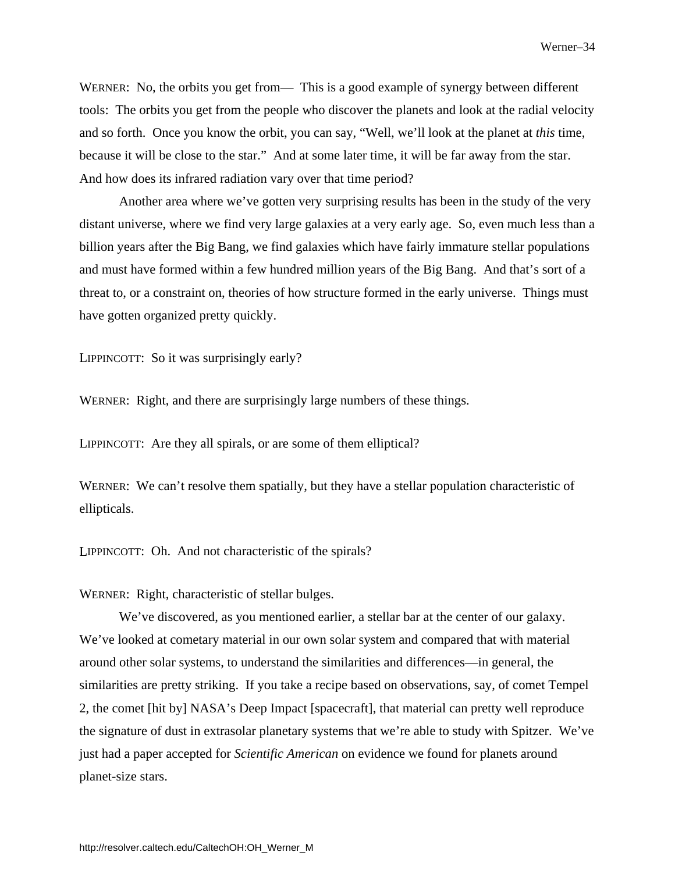WERNER: No, the orbits you get from— This is a good example of synergy between different tools: The orbits you get from the people who discover the planets and look at the radial velocity and so forth. Once you know the orbit, you can say, "Well, we'll look at the planet at *this* time, because it will be close to the star." And at some later time, it will be far away from the star. And how does its infrared radiation vary over that time period?

Another area where we've gotten very surprising results has been in the study of the very distant universe, where we find very large galaxies at a very early age. So, even much less than a billion years after the Big Bang, we find galaxies which have fairly immature stellar populations and must have formed within a few hundred million years of the Big Bang. And that's sort of a threat to, or a constraint on, theories of how structure formed in the early universe. Things must have gotten organized pretty quickly.

LIPPINCOTT: So it was surprisingly early?

WERNER: Right, and there are surprisingly large numbers of these things.

LIPPINCOTT: Are they all spirals, or are some of them elliptical?

WERNER: We can't resolve them spatially, but they have a stellar population characteristic of ellipticals.

LIPPINCOTT: Oh. And not characteristic of the spirals?

WERNER: Right, characteristic of stellar bulges.

We've discovered, as you mentioned earlier, a stellar bar at the center of our galaxy. We've looked at cometary material in our own solar system and compared that with material around other solar systems, to understand the similarities and differences—in general, the similarities are pretty striking. If you take a recipe based on observations, say, of comet Tempel 2, the comet [hit by] NASA's Deep Impact [spacecraft], that material can pretty well reproduce the signature of dust in extrasolar planetary systems that we're able to study with Spitzer. We've just had a paper accepted for *Scientific American* on evidence we found for planets around planet-size stars.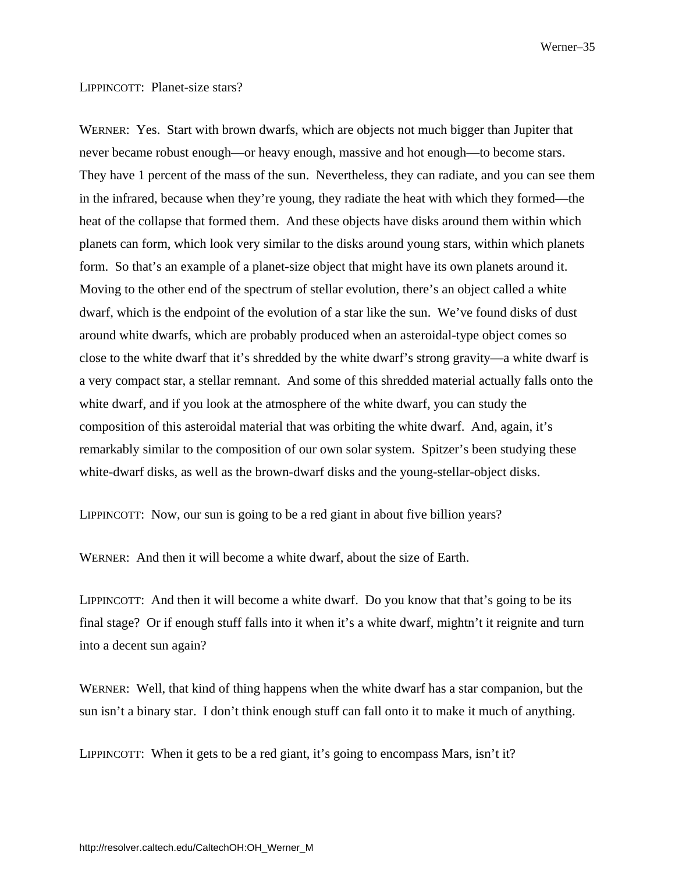#### LIPPINCOTT: Planet-size stars?

WERNER: Yes. Start with brown dwarfs, which are objects not much bigger than Jupiter that never became robust enough—or heavy enough, massive and hot enough—to become stars. They have 1 percent of the mass of the sun. Nevertheless, they can radiate, and you can see them in the infrared, because when they're young, they radiate the heat with which they formed—the heat of the collapse that formed them. And these objects have disks around them within which planets can form, which look very similar to the disks around young stars, within which planets form. So that's an example of a planet-size object that might have its own planets around it. Moving to the other end of the spectrum of stellar evolution, there's an object called a white dwarf, which is the endpoint of the evolution of a star like the sun. We've found disks of dust around white dwarfs, which are probably produced when an asteroidal-type object comes so close to the white dwarf that it's shredded by the white dwarf's strong gravity—a white dwarf is a very compact star, a stellar remnant. And some of this shredded material actually falls onto the white dwarf, and if you look at the atmosphere of the white dwarf, you can study the composition of this asteroidal material that was orbiting the white dwarf. And, again, it's remarkably similar to the composition of our own solar system. Spitzer's been studying these white-dwarf disks, as well as the brown-dwarf disks and the young-stellar-object disks.

LIPPINCOTT: Now, our sun is going to be a red giant in about five billion years?

WERNER: And then it will become a white dwarf, about the size of Earth.

LIPPINCOTT: And then it will become a white dwarf. Do you know that that's going to be its final stage? Or if enough stuff falls into it when it's a white dwarf, mightn't it reignite and turn into a decent sun again?

WERNER: Well, that kind of thing happens when the white dwarf has a star companion, but the sun isn't a binary star. I don't think enough stuff can fall onto it to make it much of anything.

LIPPINCOTT: When it gets to be a red giant, it's going to encompass Mars, isn't it?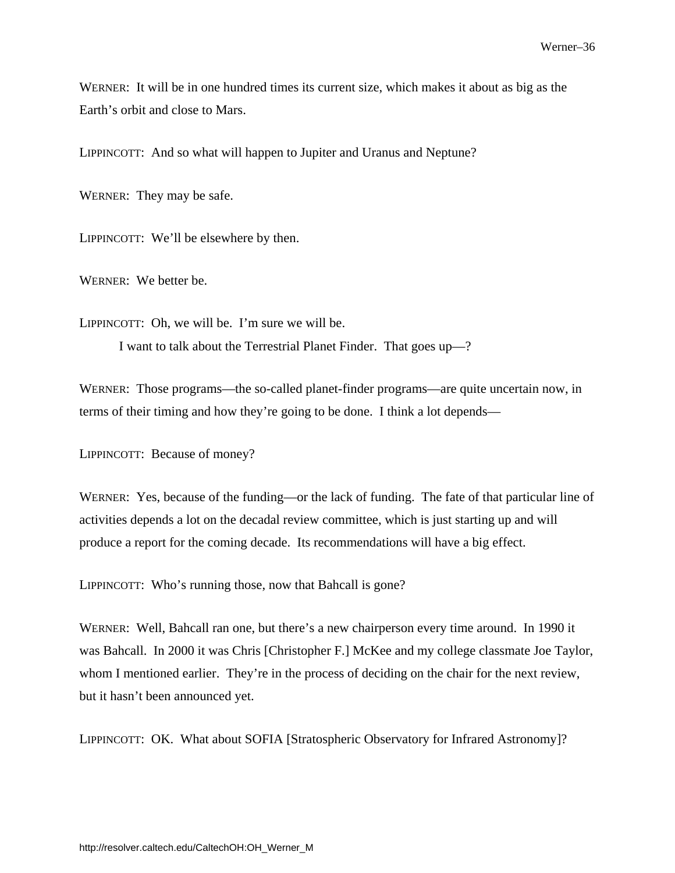WERNER: It will be in one hundred times its current size, which makes it about as big as the Earth's orbit and close to Mars.

LIPPINCOTT: And so what will happen to Jupiter and Uranus and Neptune?

WERNER: They may be safe.

LIPPINCOTT: We'll be elsewhere by then.

WERNER: We better be.

LIPPINCOTT: Oh, we will be. I'm sure we will be. I want to talk about the Terrestrial Planet Finder. That goes up—?

WERNER: Those programs—the so-called planet-finder programs—are quite uncertain now, in terms of their timing and how they're going to be done. I think a lot depends—

LIPPINCOTT: Because of money?

WERNER: Yes, because of the funding—or the lack of funding. The fate of that particular line of activities depends a lot on the decadal review committee, which is just starting up and will produce a report for the coming decade. Its recommendations will have a big effect.

LIPPINCOTT: Who's running those, now that Bahcall is gone?

WERNER: Well, Bahcall ran one, but there's a new chairperson every time around. In 1990 it was Bahcall. In 2000 it was Chris [Christopher F.] McKee and my college classmate Joe Taylor, whom I mentioned earlier. They're in the process of deciding on the chair for the next review, but it hasn't been announced yet.

LIPPINCOTT: OK. What about SOFIA [Stratospheric Observatory for Infrared Astronomy]?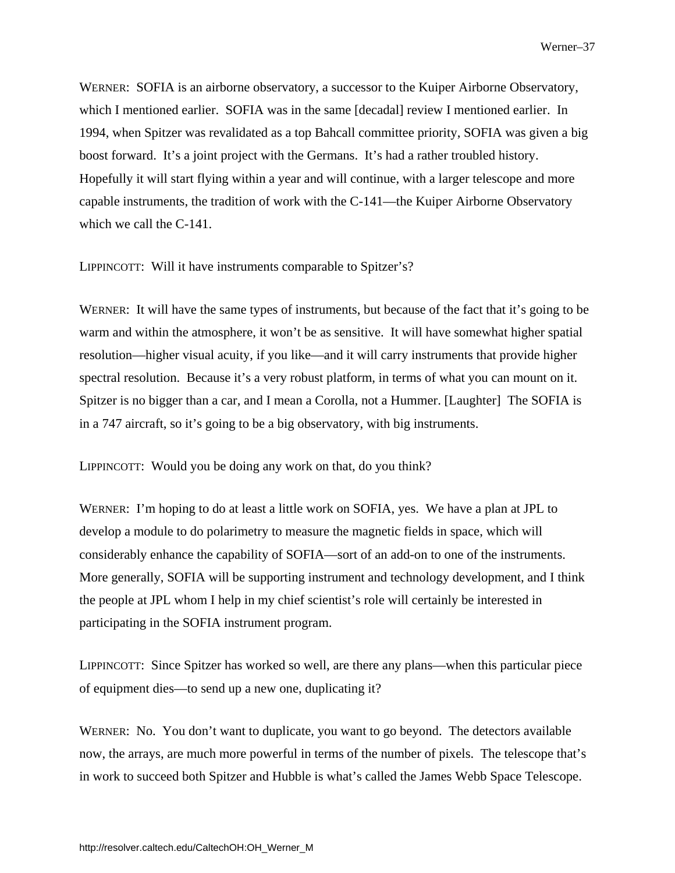WERNER: SOFIA is an airborne observatory, a successor to the Kuiper Airborne Observatory, which I mentioned earlier. SOFIA was in the same [decadal] review I mentioned earlier. In 1994, when Spitzer was revalidated as a top Bahcall committee priority, SOFIA was given a big boost forward. It's a joint project with the Germans. It's had a rather troubled history. Hopefully it will start flying within a year and will continue, with a larger telescope and more capable instruments, the tradition of work with the C-141—the Kuiper Airborne Observatory which we call the C-141.

LIPPINCOTT: Will it have instruments comparable to Spitzer's?

WERNER: It will have the same types of instruments, but because of the fact that it's going to be warm and within the atmosphere, it won't be as sensitive. It will have somewhat higher spatial resolution—higher visual acuity, if you like—and it will carry instruments that provide higher spectral resolution. Because it's a very robust platform, in terms of what you can mount on it. Spitzer is no bigger than a car, and I mean a Corolla, not a Hummer. [Laughter] The SOFIA is in a 747 aircraft, so it's going to be a big observatory, with big instruments.

LIPPINCOTT: Would you be doing any work on that, do you think?

WERNER: I'm hoping to do at least a little work on SOFIA, yes. We have a plan at JPL to develop a module to do polarimetry to measure the magnetic fields in space, which will considerably enhance the capability of SOFIA—sort of an add-on to one of the instruments. More generally, SOFIA will be supporting instrument and technology development, and I think the people at JPL whom I help in my chief scientist's role will certainly be interested in participating in the SOFIA instrument program.

LIPPINCOTT: Since Spitzer has worked so well, are there any plans—when this particular piece of equipment dies—to send up a new one, duplicating it?

WERNER: No. You don't want to duplicate, you want to go beyond. The detectors available now, the arrays, are much more powerful in terms of the number of pixels. The telescope that's in work to succeed both Spitzer and Hubble is what's called the James Webb Space Telescope.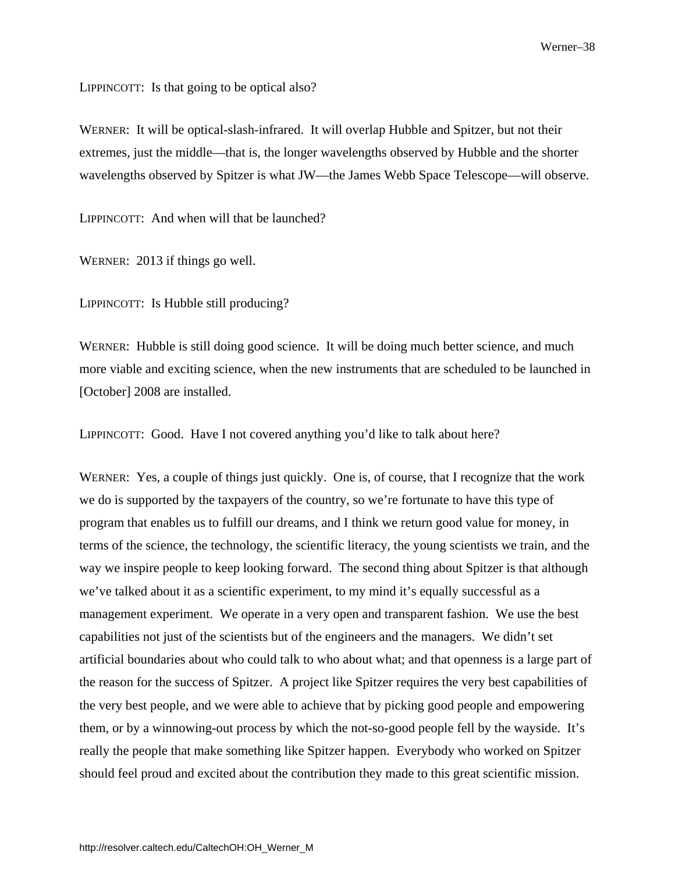LIPPINCOTT: Is that going to be optical also?

WERNER: It will be optical-slash-infrared. It will overlap Hubble and Spitzer, but not their extremes, just the middle—that is, the longer wavelengths observed by Hubble and the shorter wavelengths observed by Spitzer is what JW—the James Webb Space Telescope—will observe.

LIPPINCOTT: And when will that be launched?

WERNER: 2013 if things go well.

LIPPINCOTT: Is Hubble still producing?

WERNER: Hubble is still doing good science. It will be doing much better science, and much more viable and exciting science, when the new instruments that are scheduled to be launched in [October] 2008 are installed.

LIPPINCOTT: Good. Have I not covered anything you'd like to talk about here?

WERNER: Yes, a couple of things just quickly. One is, of course, that I recognize that the work we do is supported by the taxpayers of the country, so we're fortunate to have this type of program that enables us to fulfill our dreams, and I think we return good value for money, in terms of the science, the technology, the scientific literacy, the young scientists we train, and the way we inspire people to keep looking forward. The second thing about Spitzer is that although we've talked about it as a scientific experiment, to my mind it's equally successful as a management experiment. We operate in a very open and transparent fashion. We use the best capabilities not just of the scientists but of the engineers and the managers. We didn't set artificial boundaries about who could talk to who about what; and that openness is a large part of the reason for the success of Spitzer. A project like Spitzer requires the very best capabilities of the very best people, and we were able to achieve that by picking good people and empowering them, or by a winnowing-out process by which the not-so-good people fell by the wayside. It's really the people that make something like Spitzer happen. Everybody who worked on Spitzer should feel proud and excited about the contribution they made to this great scientific mission.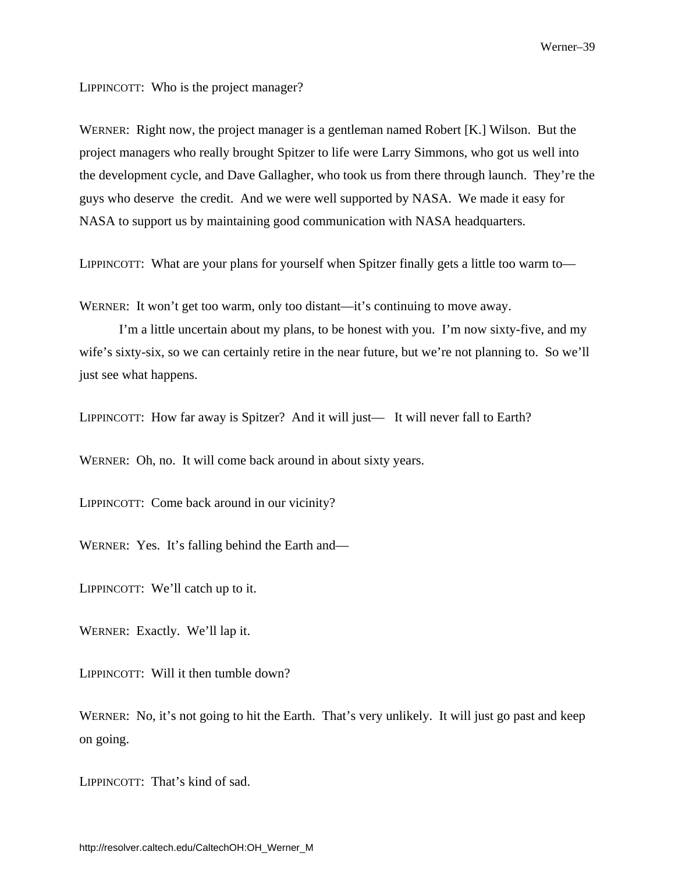LIPPINCOTT: Who is the project manager?

WERNER: Right now, the project manager is a gentleman named Robert [K.] Wilson. But the project managers who really brought Spitzer to life were Larry Simmons, who got us well into the development cycle, and Dave Gallagher, who took us from there through launch. They're the guys who deserve the credit. And we were well supported by NASA. We made it easy for NASA to support us by maintaining good communication with NASA headquarters.

LIPPINCOTT: What are your plans for yourself when Spitzer finally gets a little too warm to—

WERNER: It won't get too warm, only too distant—it's continuing to move away.

I'm a little uncertain about my plans, to be honest with you. I'm now sixty-five, and my wife's sixty-six, so we can certainly retire in the near future, but we're not planning to. So we'll just see what happens.

LIPPINCOTT: How far away is Spitzer? And it will just— It will never fall to Earth?

WERNER: Oh, no. It will come back around in about sixty years.

LIPPINCOTT: Come back around in our vicinity?

WERNER: Yes. It's falling behind the Earth and—

LIPPINCOTT: We'll catch up to it.

WERNER: Exactly. We'll lap it.

LIPPINCOTT: Will it then tumble down?

WERNER: No, it's not going to hit the Earth. That's very unlikely. It will just go past and keep on going.

LIPPINCOTT: That's kind of sad.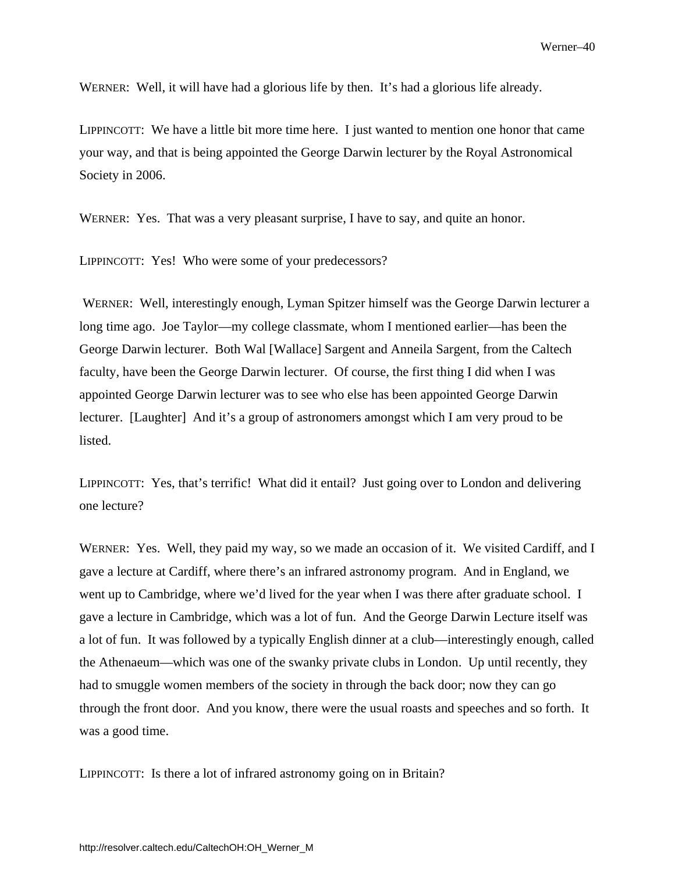WERNER: Well, it will have had a glorious life by then. It's had a glorious life already.

LIPPINCOTT: We have a little bit more time here. I just wanted to mention one honor that came your way, and that is being appointed the George Darwin lecturer by the Royal Astronomical Society in 2006.

WERNER: Yes. That was a very pleasant surprise, I have to say, and quite an honor.

LIPPINCOTT: Yes! Who were some of your predecessors?

 WERNER: Well, interestingly enough, Lyman Spitzer himself was the George Darwin lecturer a long time ago. Joe Taylor—my college classmate, whom I mentioned earlier—has been the George Darwin lecturer. Both Wal [Wallace] Sargent and Anneila Sargent, from the Caltech faculty, have been the George Darwin lecturer. Of course, the first thing I did when I was appointed George Darwin lecturer was to see who else has been appointed George Darwin lecturer. [Laughter] And it's a group of astronomers amongst which I am very proud to be listed.

LIPPINCOTT: Yes, that's terrific! What did it entail? Just going over to London and delivering one lecture?

WERNER: Yes. Well, they paid my way, so we made an occasion of it. We visited Cardiff, and I gave a lecture at Cardiff, where there's an infrared astronomy program. And in England, we went up to Cambridge, where we'd lived for the year when I was there after graduate school. I gave a lecture in Cambridge, which was a lot of fun. And the George Darwin Lecture itself was a lot of fun. It was followed by a typically English dinner at a club—interestingly enough, called the Athenaeum—which was one of the swanky private clubs in London. Up until recently, they had to smuggle women members of the society in through the back door; now they can go through the front door. And you know, there were the usual roasts and speeches and so forth. It was a good time.

LIPPINCOTT: Is there a lot of infrared astronomy going on in Britain?